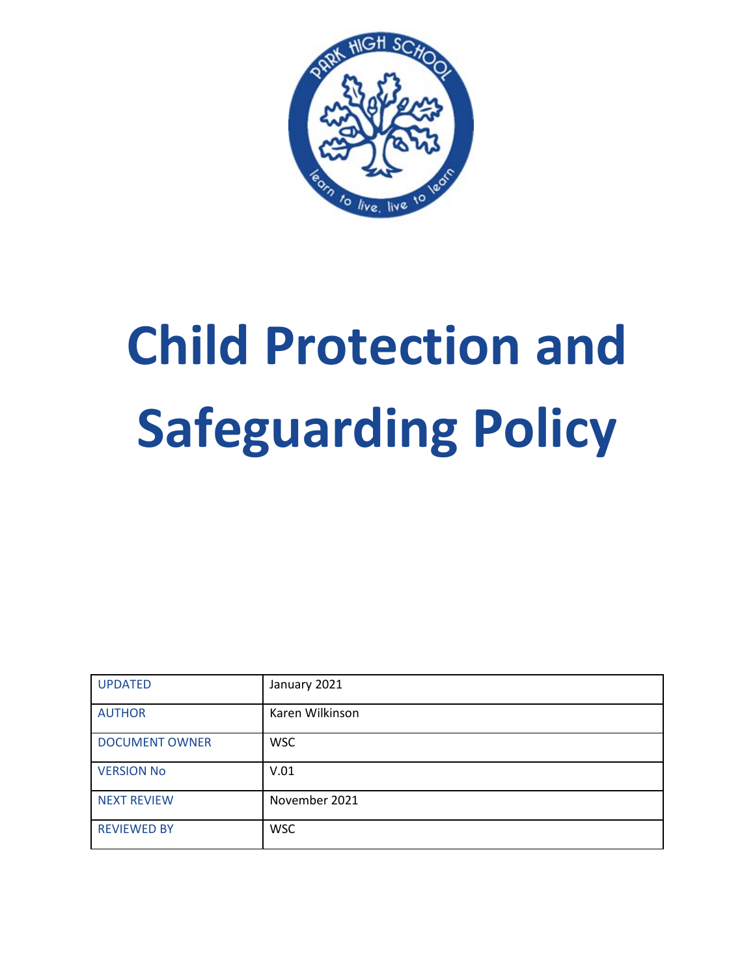

# **Child Protection and Safeguarding Policy**

| <b>UPDATED</b>        | January 2021    |
|-----------------------|-----------------|
| <b>AUTHOR</b>         | Karen Wilkinson |
| <b>DOCUMENT OWNER</b> | <b>WSC</b>      |
| <b>VERSION No</b>     | V.01            |
| <b>NEXT REVIEW</b>    | November 2021   |
| <b>REVIEWED BY</b>    | <b>WSC</b>      |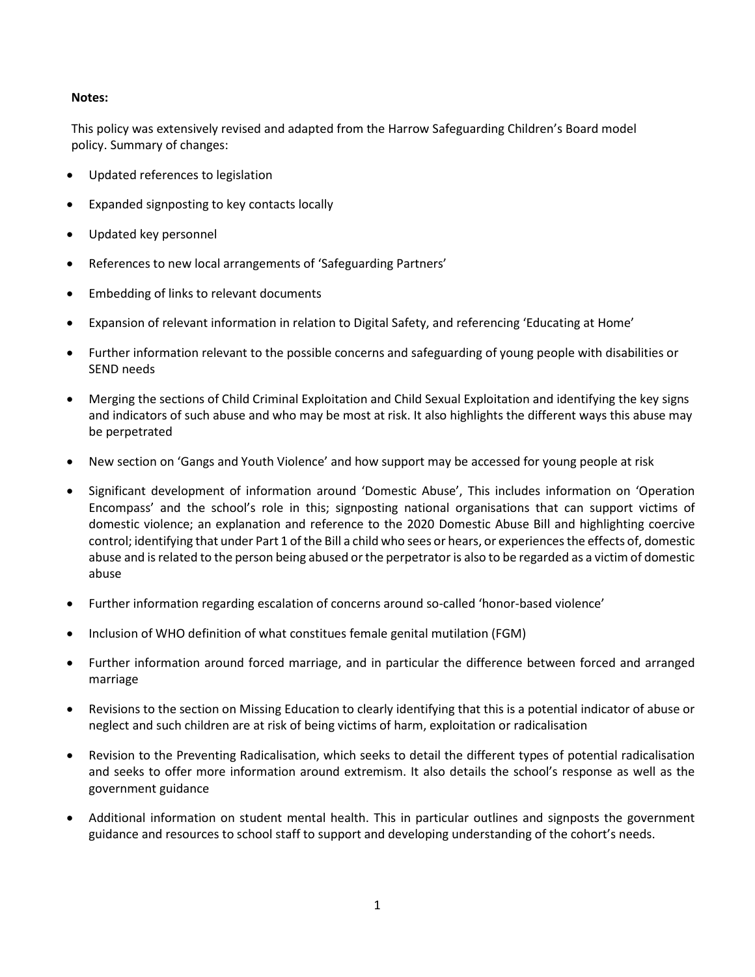#### **Notes:**

This policy was extensively revised and adapted from the Harrow Safeguarding Children's Board model policy. Summary of changes:

- Updated references to legislation
- Expanded signposting to key contacts locally
- Updated key personnel
- References to new local arrangements of 'Safeguarding Partners'
- Embedding of links to relevant documents
- Expansion of relevant information in relation to Digital Safety, and referencing 'Educating at Home'
- Further information relevant to the possible concerns and safeguarding of young people with disabilities or SEND needs
- Merging the sections of Child Criminal Exploitation and Child Sexual Exploitation and identifying the key signs and indicators of such abuse and who may be most at risk. It also highlights the different ways this abuse may be perpetrated
- New section on 'Gangs and Youth Violence' and how support may be accessed for young people at risk
- Significant development of information around 'Domestic Abuse', This includes information on 'Operation Encompass' and the school's role in this; signposting national organisations that can support victims of domestic violence; an explanation and reference to the 2020 Domestic Abuse Bill and highlighting coercive control; identifying that under Part 1 of the Bill a child who sees or hears, or experiences the effects of, domestic abuse and is related to the person being abused or the perpetrator is also to be regarded as a victim of domestic abuse
- Further information regarding escalation of concerns around so-called 'honor-based violence'
- Inclusion of WHO definition of what constitues female genital mutilation (FGM)
- Further information around forced marriage, and in particular the difference between forced and arranged marriage
- Revisions to the section on Missing Education to clearly identifying that this is a potential indicator of abuse or neglect and such children are at risk of being victims of harm, exploitation or radicalisation
- Revision to the Preventing Radicalisation, which seeks to detail the different types of potential radicalisation and seeks to offer more information around extremism. It also details the school's response as well as the government guidance
- Additional information on student mental health. This in particular outlines and signposts the government guidance and resources to school staff to support and developing understanding of the cohort's needs.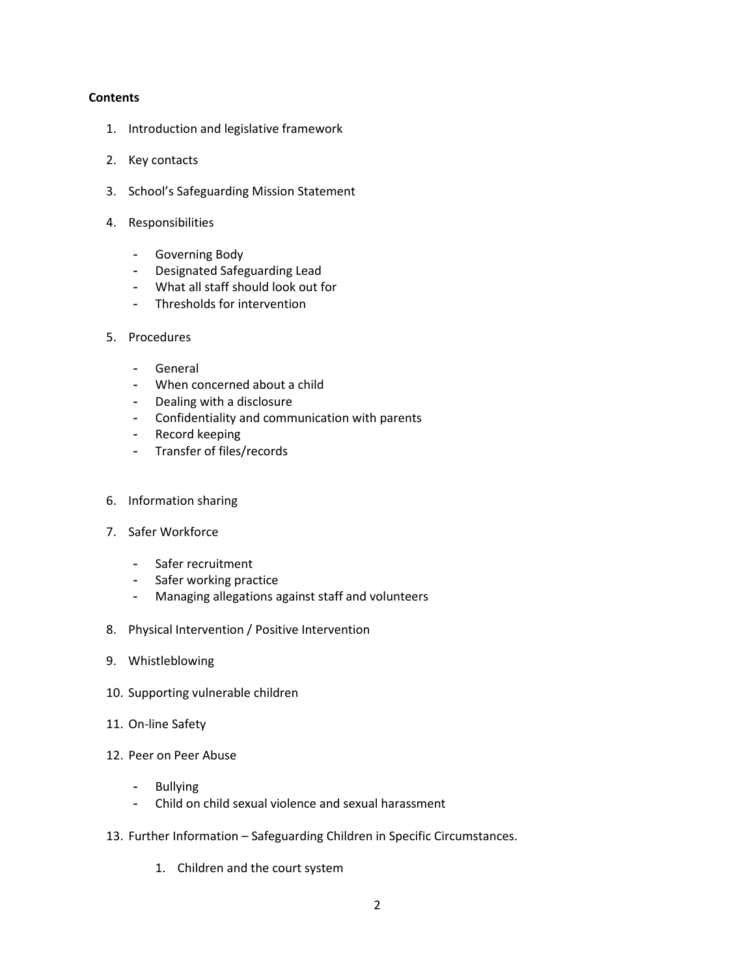#### **Contents**

- 1. Introduction and legislative framework
- 2. Key contacts
- 3. School's Safeguarding Mission Statement
- 4. Responsibilities
	- Governing Body
	- Designated Safeguarding Lead
	- What all staff should look out for
	- Thresholds for intervention

#### 5. Procedures

- General
- When concerned about a child
- Dealing with a disclosure
- Confidentiality and communication with parents
- Record keeping
- Transfer of files/records
- 6. Information sharing
- 7. Safer Workforce
	- Safer recruitment
	- Safer working practice
	- Managing allegations against staff and volunteers
- 8. Physical Intervention / Positive Intervention
- 9. Whistleblowing
- 10. Supporting vulnerable children
- 11. On-line Safety
- 12. Peer on Peer Abuse
	- Bullying
	- Child on child sexual violence and sexual harassment
- 13. Further Information Safeguarding Children in Specific Circumstances.
	- 1. Children and the court system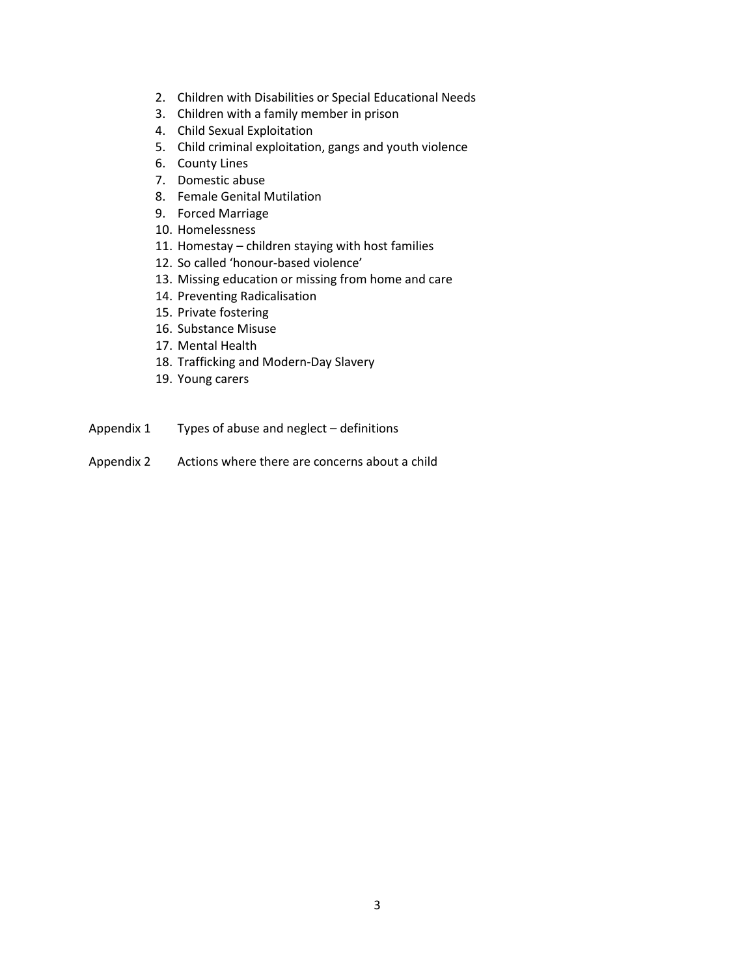- 2. Children with Disabilities or Special Educational Needs
- 3. Children with a family member in prison
- 4. Child Sexual Exploitation
- 5. Child criminal exploitation, gangs and youth violence
- 6. County Lines
- 7. Domestic abuse
- 8. Female Genital Mutilation
- 9. Forced Marriage
- 10. Homelessness
- 11. Homestay children staying with host families
- 12. So called 'honour-based violence'
- 13. Missing education or missing from home and care
- 14. Preventing Radicalisation
- 15. Private fostering
- 16. Substance Misuse
- 17. Mental Health
- 18. Trafficking and Modern-Day Slavery
- 19. Young carers
- Appendix 1 Types of abuse and neglect definitions
- Appendix 2 Actions where there are concerns about a child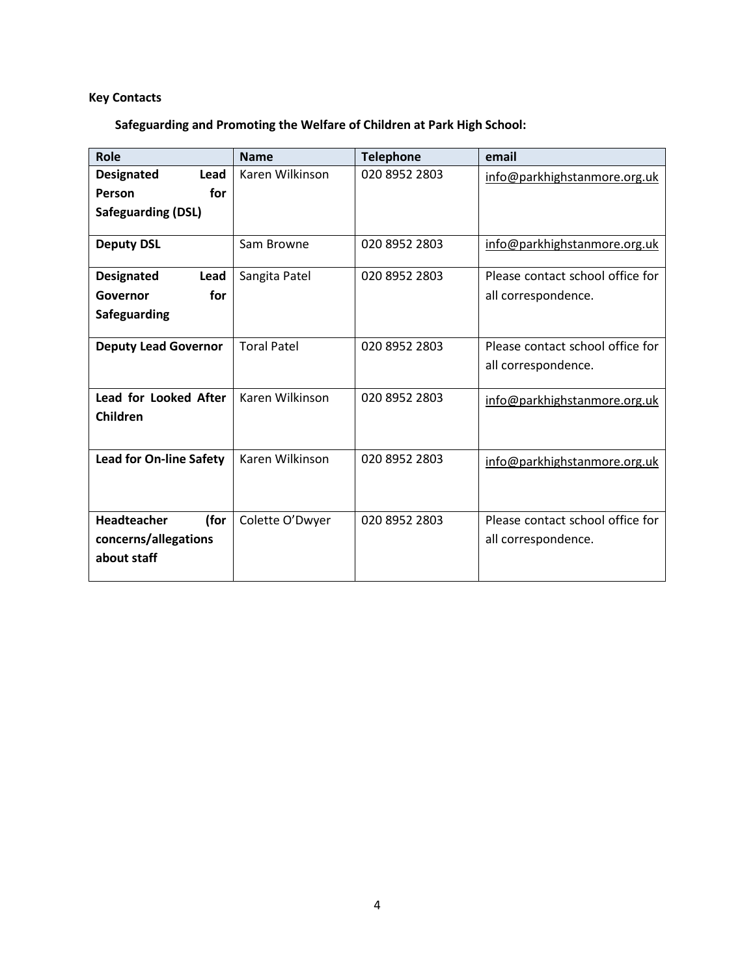# **Key Contacts**

**Safeguarding and Promoting the Welfare of Children at Park High School:**

| <b>Role</b>                    | <b>Name</b>        | <b>Telephone</b> | email                            |
|--------------------------------|--------------------|------------------|----------------------------------|
| <b>Designated</b><br>Lead      | Karen Wilkinson    | 020 8952 2803    | info@parkhighstanmore.org.uk     |
| Person<br>for                  |                    |                  |                                  |
| <b>Safeguarding (DSL)</b>      |                    |                  |                                  |
| <b>Deputy DSL</b>              | Sam Browne         | 020 8952 2803    | info@parkhighstanmore.org.uk     |
| Lead<br><b>Designated</b>      | Sangita Patel      | 020 8952 2803    | Please contact school office for |
| for<br>Governor                |                    |                  | all correspondence.              |
| Safeguarding                   |                    |                  |                                  |
| <b>Deputy Lead Governor</b>    | <b>Toral Patel</b> | 020 8952 2803    | Please contact school office for |
|                                |                    |                  | all correspondence.              |
| Lead for Looked After          | Karen Wilkinson    | 020 8952 2803    | info@parkhighstanmore.org.uk     |
| Children                       |                    |                  |                                  |
| <b>Lead for On-line Safety</b> | Karen Wilkinson    | 020 8952 2803    | info@parkhighstanmore.org.uk     |
|                                |                    |                  |                                  |
| <b>Headteacher</b><br>(for     | Colette O'Dwyer    | 020 8952 2803    | Please contact school office for |
| concerns/allegations           |                    |                  | all correspondence.              |
| about staff                    |                    |                  |                                  |
|                                |                    |                  |                                  |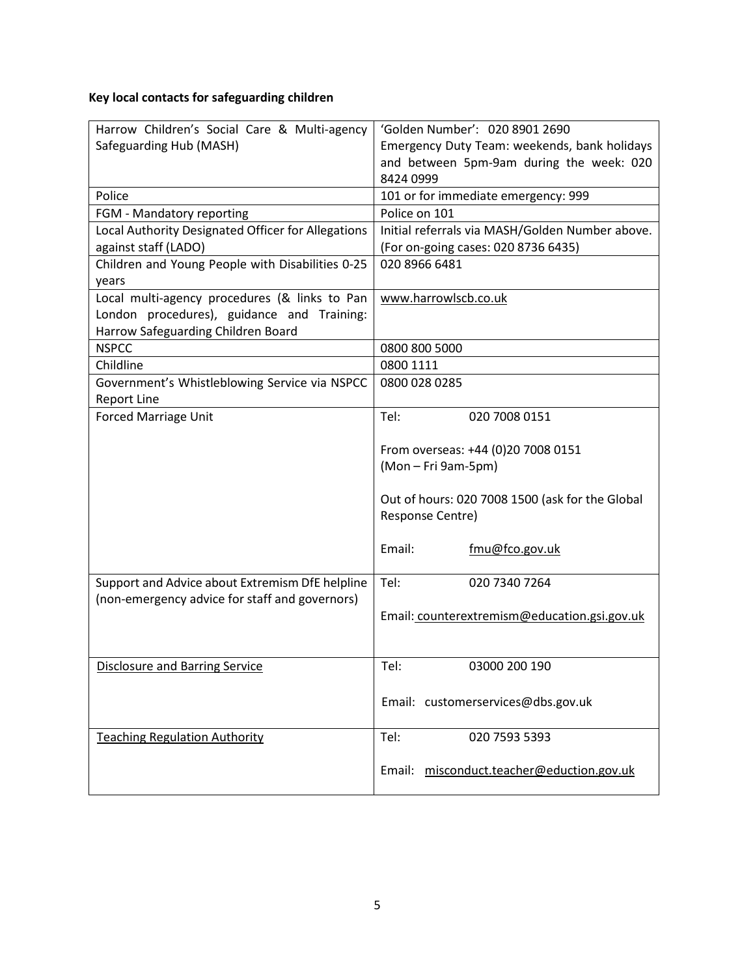# **Key local contacts for safeguarding children**

| Harrow Children's Social Care & Multi-agency       | 'Golden Number': 020 8901 2690                  |  |  |
|----------------------------------------------------|-------------------------------------------------|--|--|
|                                                    |                                                 |  |  |
| Safeguarding Hub (MASH)                            | Emergency Duty Team: weekends, bank holidays    |  |  |
|                                                    | and between 5pm-9am during the week: 020        |  |  |
|                                                    | 8424 0999                                       |  |  |
| Police                                             | 101 or for immediate emergency: 999             |  |  |
| FGM - Mandatory reporting                          | Police on 101                                   |  |  |
| Local Authority Designated Officer for Allegations | Initial referrals via MASH/Golden Number above. |  |  |
| against staff (LADO)                               | (For on-going cases: 020 8736 6435)             |  |  |
| Children and Young People with Disabilities 0-25   | 020 8966 6481                                   |  |  |
| years                                              |                                                 |  |  |
| Local multi-agency procedures (& links to Pan      | www.harrowlscb.co.uk                            |  |  |
| London procedures), guidance and Training:         |                                                 |  |  |
| Harrow Safeguarding Children Board                 |                                                 |  |  |
| <b>NSPCC</b>                                       | 0800 800 5000                                   |  |  |
| Childline                                          | 0800 1111                                       |  |  |
| Government's Whistleblowing Service via NSPCC      | 0800 028 0285                                   |  |  |
| <b>Report Line</b>                                 |                                                 |  |  |
| Forced Marriage Unit                               | Tel:<br>020 7008 0151                           |  |  |
|                                                    |                                                 |  |  |
|                                                    | From overseas: +44 (0)20 7008 0151              |  |  |
|                                                    | (Mon - Fri 9am-5pm)                             |  |  |
|                                                    | Out of hours: 020 7008 1500 (ask for the Global |  |  |
|                                                    | Response Centre)                                |  |  |
|                                                    |                                                 |  |  |
|                                                    | Email:<br>fmu@fco.gov.uk                        |  |  |
|                                                    |                                                 |  |  |
| Support and Advice about Extremism DfE helpline    | Tel:<br>020 7340 7264                           |  |  |
| (non-emergency advice for staff and governors)     |                                                 |  |  |
|                                                    | Email: counterextremism@education.gsi.gov.uk    |  |  |
|                                                    |                                                 |  |  |
|                                                    |                                                 |  |  |
| <b>Disclosure and Barring Service</b>              | Tel:<br>03000 200 190                           |  |  |
|                                                    |                                                 |  |  |
|                                                    | Email: customerservices@dbs.gov.uk              |  |  |
|                                                    |                                                 |  |  |
| <b>Teaching Regulation Authority</b>               | Tel:<br>020 7593 5393                           |  |  |
|                                                    |                                                 |  |  |
|                                                    | misconduct.teacher@eduction.gov.uk<br>Email:    |  |  |
|                                                    |                                                 |  |  |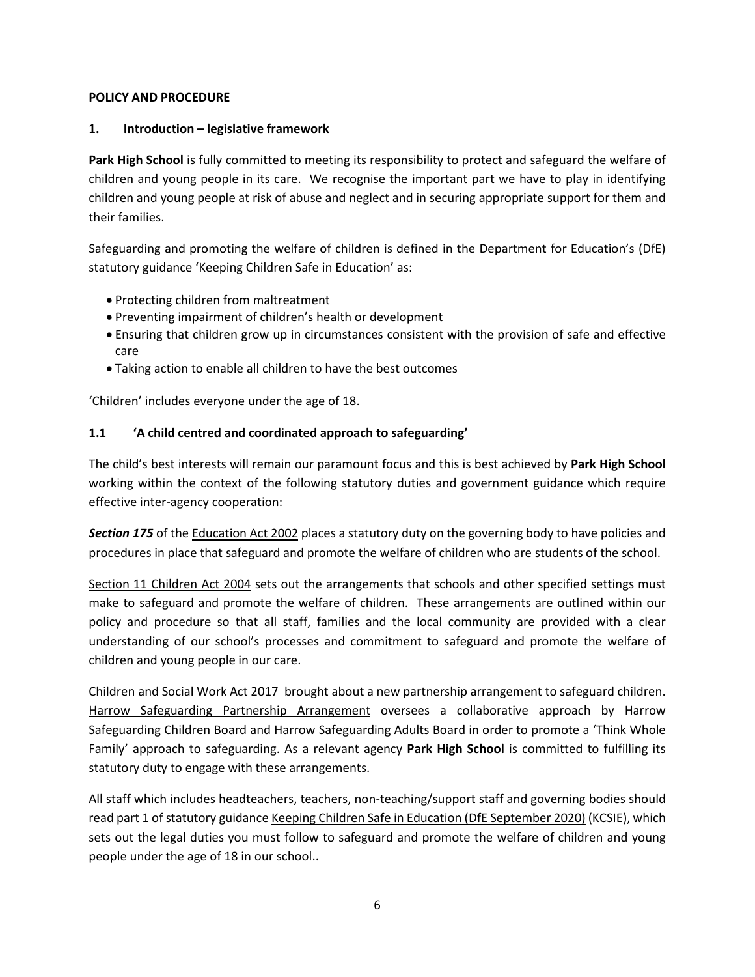#### **POLICY AND PROCEDURE**

## **1. Introduction – legislative framework**

**Park High School** is fully committed to meeting its responsibility to protect and safeguard the welfare of children and young people in its care. We recognise the important part we have to play in identifying children and young people at risk of abuse and neglect and in securing appropriate support for them and their families.

Safeguarding and promoting the welfare of children is defined in the Department for Education's (DfE) statutory guidance ['Keeping Children Safe in Education'](https://www.gov.uk/government/publications/keeping-children-safe-in-education--2) as:

- Protecting children from maltreatment
- Preventing impairment of children's health or development
- Ensuring that children grow up in circumstances consistent with the provision of safe and effective care
- Taking action to enable all children to have the best outcomes

'Children' includes everyone under the age of 18.

## **1.1 'A child centred and coordinated approach to safeguarding'**

The child's best interests will remain our paramount focus and this is best achieved by **Park High School**  working within the context of the following statutory duties and government guidance which require effective inter-agency cooperation:

*Section 175* of th[e Education Act 2002](http://www.legislation.gov.uk/ukpga/2002/32/contents) places a statutory duty on the governing body to have policies and procedures in place that safeguard and promote the welfare of children who are students of the school.

[Section 11 Children Act 2004](http://www.legislation.gov.uk/ukpga/2004/31/contents) sets out the arrangements that schools and other specified settings must make to safeguard and promote the welfare of children. These arrangements are outlined within our policy and procedure so that all staff, families and the local community are provided with a clear understanding of our school's processes and commitment to safeguard and promote the welfare of children and young people in our care.

[Children and Social Work Act 2017 b](https://www.legislation.gov.uk/ukpga/2017/16/contents)rought about a new partnership arrangement to safeguard children. [Harrow Safeguarding Partnership Arrangement](http://www.harrowscb.co.uk/wp-content/uploads/2019/06/Harrow-Safeguarding-Children-Arrangements-May-2019.pdf) oversees a collaborative approach by Harrow Safeguarding Children Board and Harrow Safeguarding Adults Board in order to promote a 'Think Whole Family' approach to safeguarding. As a relevant agency **Park High School** is committed to fulfilling its statutory duty to engage with these arrangements.

All staff which includes headteachers, teachers, non-teaching/support staff and governing bodies should read part 1 of statutory guidance [Keeping Children Safe in Education \(DfE September 2020\)](https://www.gov.uk/government/publications/keeping-children-safe-in-education--2) (KCSIE), which sets out the legal duties you must follow to safeguard and promote the welfare of children and young people under the age of 18 in our school..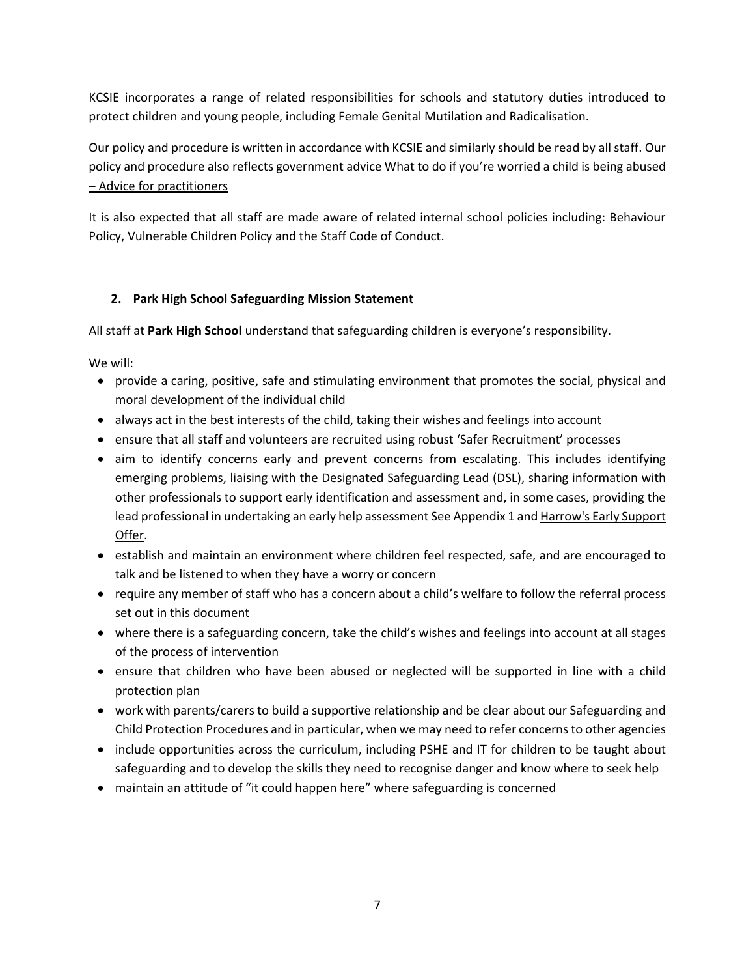KCSIE incorporates a range of related responsibilities for schools and statutory duties introduced to protect children and young people, including Female Genital Mutilation and Radicalisation.

Our policy and procedure is written in accordance with KCSIE and similarly should be read by all staff. Our policy and procedure also reflects government advice What to do if you're worried a child is being abused – [Advice for practitioners](https://www.gov.uk/government/publications/what-to-do-if-youre-worried-a-child-is-being-abused--2) 

It is also expected that all staff are made aware of related internal school policies including: Behaviour Policy, Vulnerable Children Policy and the Staff Code of Conduct.

## **2. Park High School Safeguarding Mission Statement**

All staff at **Park High School** understand that safeguarding children is everyone's responsibility.

We will:

- provide a caring, positive, safe and stimulating environment that promotes the social, physical and moral development of the individual child
- always act in the best interests of the child, taking their wishes and feelings into account
- ensure that all staff and volunteers are recruited using robust 'Safer Recruitment' processes
- aim to identify concerns early and prevent concerns from escalating. This includes identifying emerging problems, liaising with the Designated Safeguarding Lead (DSL), sharing information with other professionals to support early identification and assessment and, in some cases, providing the lead professional in undertaking an early help assessment See Appendix 1 and Harrow's Early Support [Offer.](http://www.harrowlscb.co.uk/parents-carers/early-help/)
- establish and maintain an environment where children feel respected, safe, and are encouraged to talk and be listened to when they have a worry or concern
- require any member of staff who has a concern about a child's welfare to follow the referral process set out in this document
- where there is a safeguarding concern, take the child's wishes and feelings into account at all stages of the process of intervention
- ensure that children who have been abused or neglected will be supported in line with a child protection plan
- work with parents/carers to build a supportive relationship and be clear about our Safeguarding and Child Protection Procedures and in particular, when we may need to refer concerns to other agencies
- include opportunities across the curriculum, including PSHE and IT for children to be taught about safeguarding and to develop the skills they need to recognise danger and know where to seek help
- maintain an attitude of "it could happen here" where safeguarding is concerned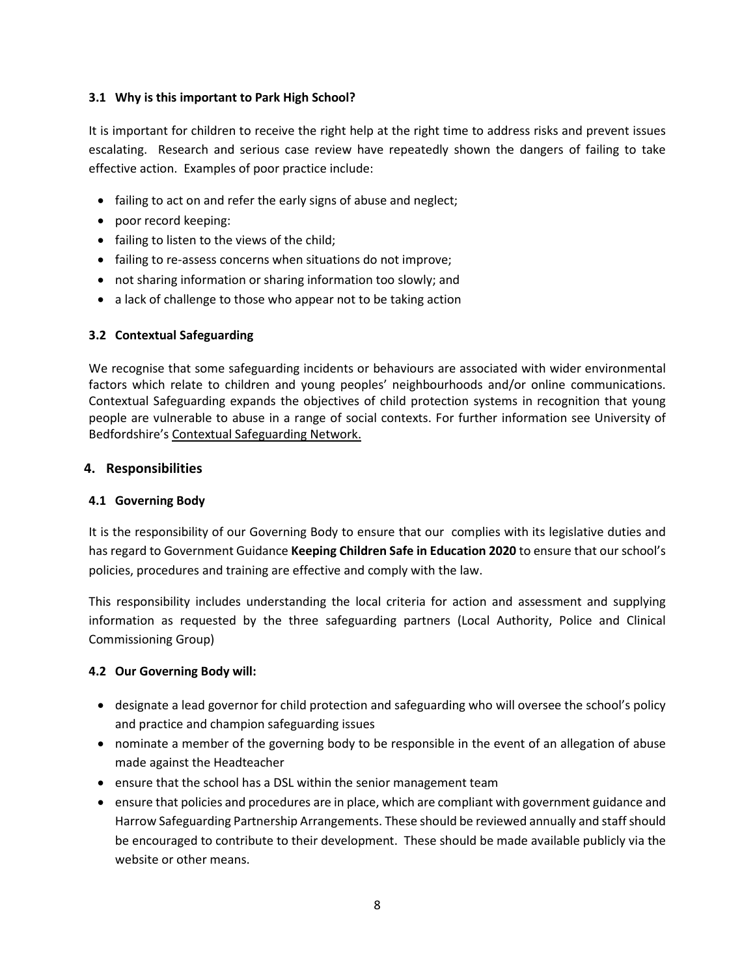## **3.1 Why is this important to Park High School?**

It is important for children to receive the right help at the right time to address risks and prevent issues escalating. Research and serious case review have repeatedly shown the dangers of failing to take effective action. Examples of poor practice include:

- failing to act on and refer the early signs of abuse and neglect;
- poor record keeping:
- failing to listen to the views of the child;
- failing to re-assess concerns when situations do not improve;
- not sharing information or sharing information too slowly; and
- a lack of challenge to those who appear not to be taking action

## **3.2 Contextual Safeguarding**

We recognise that some safeguarding incidents or behaviours are associated with wider environmental factors which relate to children and young peoples' neighbourhoods and/or online communications. Contextual Safeguarding expands the objectives of child protection systems in recognition that young people are vulnerable to abuse in a range of social contexts. For further information see University of Bedfordshire'[s Contextual Safeguarding Network.](https://contextualsafeguarding.org.uk/)

## **4. Responsibilities**

#### **4.1 Governing Body**

It is the responsibility of our Governing Body to ensure that our complies with its legislative duties and has regard to Government Guidance **Keeping Children Safe in Education 2020** to ensure that our school's policies, procedures and training are effective and comply with the law.

This responsibility includes understanding the local criteria for action and assessment and supplying information as requested by the three safeguarding partners (Local Authority, Police and Clinical Commissioning Group)

#### **4.2 Our Governing Body will:**

- designate a lead governor for child protection and safeguarding who will oversee the school's policy and practice and champion safeguarding issues
- nominate a member of the governing body to be responsible in the event of an allegation of abuse made against the Headteacher
- ensure that the school has a DSL within the senior management team
- ensure that policies and procedures are in place, which are compliant with government guidance and Harrow Safeguarding Partnership Arrangements. These should be reviewed annually and staff should be encouraged to contribute to their development. These should be made available publicly via the website or other means.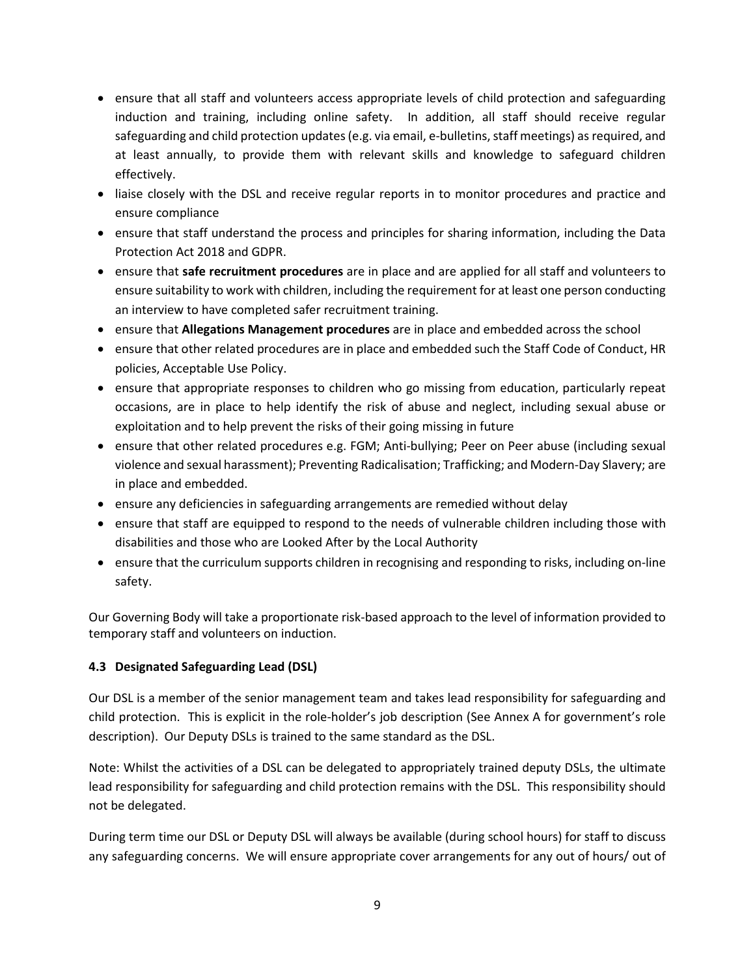- ensure that all staff and volunteers access appropriate levels of child protection and safeguarding induction and training, including online safety. In addition, all staff should receive regular safeguarding and child protection updates (e.g. via email, e-bulletins, staff meetings) as required, and at least annually, to provide them with relevant skills and knowledge to safeguard children effectively.
- liaise closely with the DSL and receive regular reports in to monitor procedures and practice and ensure compliance
- ensure that staff understand the process and principles for sharing information, including the Data Protection Act 2018 and GDPR.
- ensure that **safe recruitment procedures** are in place and are applied for all staff and volunteers to ensure suitability to work with children, including the requirement for at least one person conducting an interview to have completed safer recruitment training.
- ensure that **Allegations Management procedures** are in place and embedded across the school
- ensure that other related procedures are in place and embedded such the Staff Code of Conduct, HR policies, Acceptable Use Policy.
- ensure that appropriate responses to children who go missing from education, particularly repeat occasions, are in place to help identify the risk of abuse and neglect, including sexual abuse or exploitation and to help prevent the risks of their going missing in future
- ensure that other related procedures e.g. FGM; Anti-bullying; Peer on Peer abuse (including sexual violence and sexual harassment); Preventing Radicalisation; Trafficking; and Modern-Day Slavery; are in place and embedded.
- ensure any deficiencies in safeguarding arrangements are remedied without delay
- ensure that staff are equipped to respond to the needs of vulnerable children including those with disabilities and those who are Looked After by the Local Authority
- ensure that the curriculum supports children in recognising and responding to risks, including on-line safety.

Our Governing Body will take a proportionate risk-based approach to the level of information provided to temporary staff and volunteers on induction.

## **4.3 Designated Safeguarding Lead (DSL)**

Our DSL is a member of the senior management team and takes lead responsibility for safeguarding and child protection. This is explicit in the role-holder's job description (See Annex A for government's role description). Our Deputy DSLs is trained to the same standard as the DSL.

Note: Whilst the activities of a DSL can be delegated to appropriately trained deputy DSLs, the ultimate lead responsibility for safeguarding and child protection remains with the DSL. This responsibility should not be delegated.

During term time our DSL or Deputy DSL will always be available (during school hours) for staff to discuss any safeguarding concerns. We will ensure appropriate cover arrangements for any out of hours/ out of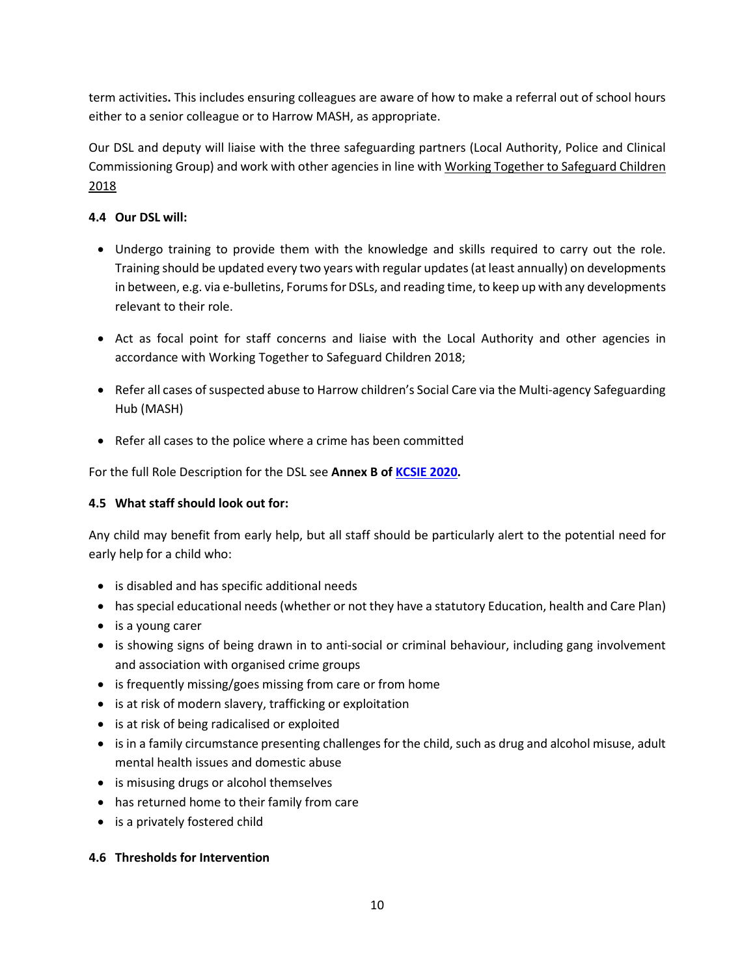term activities**.** This includes ensuring colleagues are aware of how to make a referral out of school hours either to a senior colleague or to Harrow MASH, as appropriate.

Our DSL and deputy will liaise with the three safeguarding partners (Local Authority, Police and Clinical Commissioning Group) and work with other agencies in line with Working Together to Safeguard Children [2018](https://www.gov.uk/government/publications/working-together-to-safeguard-children--2)

## **4.4 Our DSL will:**

- Undergo training to provide them with the knowledge and skills required to carry out the role. Training should be updated every two years with regular updates (at least annually) on developments in between, e.g. via e-bulletins, Forums for DSLs, and reading time, to keep up with any developments relevant to their role.
- Act as focal point for staff concerns and liaise with the Local Authority and other agencies in accordance with Working Together to Safeguard Children 2018;
- Refer all cases of suspected abuse to Harrow children's Social Care via the Multi-agency Safeguarding Hub (MASH)
- Refer all cases to the police where a crime has been committed

For the full Role Description for the DSL see **Annex B of [KCSIE 2020.](https://assets.publishing.service.gov.uk/government/uploads/system/uploads/attachment_data/file/912592/Keeping_children_safe_in_education_Sep_2020.pdf)**

## **4.5 What staff should look out for:**

Any child may benefit from early help, but all staff should be particularly alert to the potential need for early help for a child who:

- is disabled and has specific additional needs
- has special educational needs (whether or not they have a statutory Education, health and Care Plan)
- is a young carer
- is showing signs of being drawn in to anti-social or criminal behaviour, including gang involvement and association with organised crime groups
- is frequently missing/goes missing from care or from home
- is at risk of modern slavery, trafficking or exploitation
- is at risk of being radicalised or exploited
- is in a family circumstance presenting challenges for the child, such as drug and alcohol misuse, adult mental health issues and domestic abuse
- is misusing drugs or alcohol themselves
- has returned home to their family from care
- is a privately fostered child

## **4.6 Thresholds for Intervention**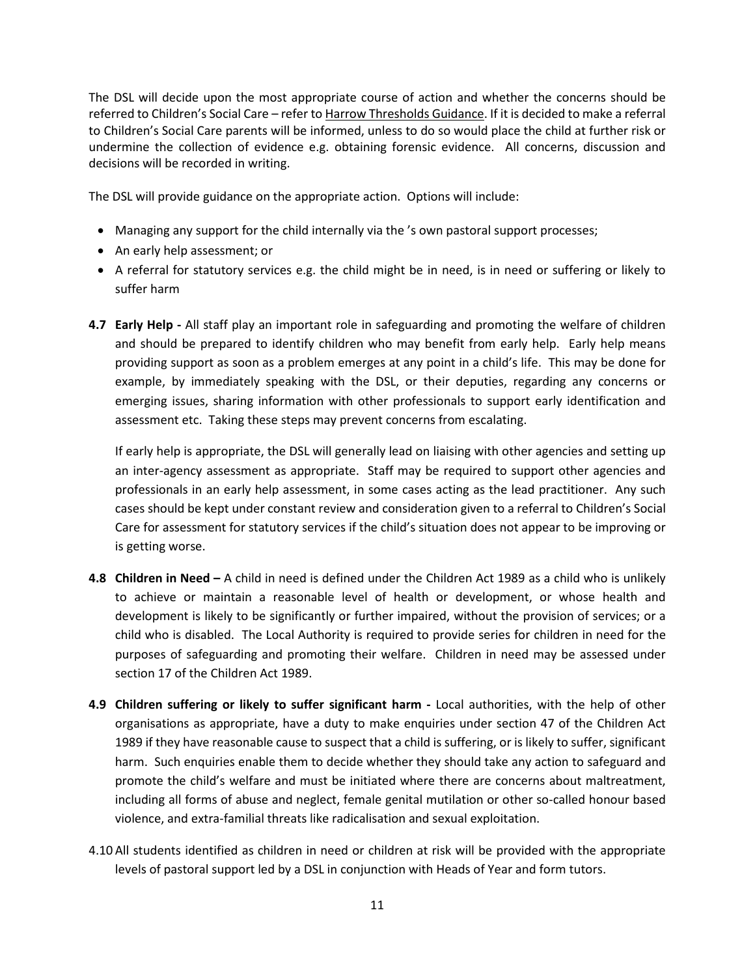The DSL will decide upon the most appropriate course of action and whether the concerns should be referred to Children's Social Care – refer t[o Harrow Thresholds Guidance.](http://www.harrowscb.co.uk/wp-content/uploads/2019/10/Harrow-Threshold-Guidance-Oct-2019.pdf) If it is decided to make a referral to Children's Social Care parents will be informed, unless to do so would place the child at further risk or undermine the collection of evidence e.g. obtaining forensic evidence. All concerns, discussion and decisions will be recorded in writing.

The DSL will provide guidance on the appropriate action. Options will include:

- Managing any support for the child internally via the 's own pastoral support processes;
- An early help assessment; or
- A referral for statutory services e.g. the child might be in need, is in need or suffering or likely to suffer harm
- **4.7 Early Help -** All staff play an important role in safeguarding and promoting the welfare of children and should be prepared to identify children who may benefit from early help. Early help means providing support as soon as a problem emerges at any point in a child's life. This may be done for example, by immediately speaking with the DSL, or their deputies, regarding any concerns or emerging issues, sharing information with other professionals to support early identification and assessment etc. Taking these steps may prevent concerns from escalating.

If early help is appropriate, the DSL will generally lead on liaising with other agencies and setting up an inter-agency assessment as appropriate. Staff may be required to support other agencies and professionals in an early help assessment, in some cases acting as the lead practitioner. Any such cases should be kept under constant review and consideration given to a referral to Children's Social Care for assessment for statutory services if the child's situation does not appear to be improving or is getting worse.

- **4.8 Children in Need –** A child in need is defined under the Children Act 1989 as a child who is unlikely to achieve or maintain a reasonable level of health or development, or whose health and development is likely to be significantly or further impaired, without the provision of services; or a child who is disabled. The Local Authority is required to provide series for children in need for the purposes of safeguarding and promoting their welfare. Children in need may be assessed under section 17 of the Children Act 1989.
- **4.9 Children suffering or likely to suffer significant harm -** Local authorities, with the help of other organisations as appropriate, have a duty to make enquiries under section 47 of the Children Act 1989 if they have reasonable cause to suspect that a child is suffering, or is likely to suffer, significant harm. Such enquiries enable them to decide whether they should take any action to safeguard and promote the child's welfare and must be initiated where there are concerns about maltreatment, including all forms of abuse and neglect, female genital mutilation or other so-called honour based violence, and extra-familial threats like radicalisation and sexual exploitation.
- 4.10 All students identified as children in need or children at risk will be provided with the appropriate levels of pastoral support led by a DSL in conjunction with Heads of Year and form tutors.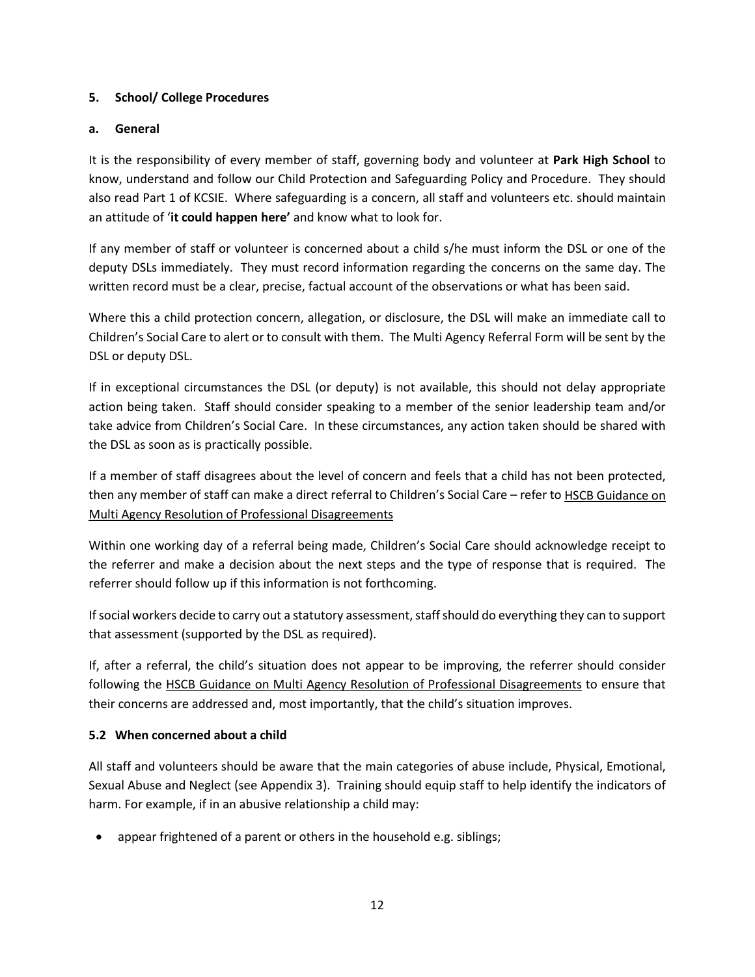#### **5. School/ College Procedures**

#### **a. General**

It is the responsibility of every member of staff, governing body and volunteer at **Park High School** to know, understand and follow our Child Protection and Safeguarding Policy and Procedure. They should also read Part 1 of KCSIE. Where safeguarding is a concern, all staff and volunteers etc. should maintain an attitude of '**it could happen here'** and know what to look for.

If any member of staff or volunteer is concerned about a child s/he must inform the DSL or one of the deputy DSLs immediately. They must record information regarding the concerns on the same day. The written record must be a clear, precise, factual account of the observations or what has been said.

Where this a child protection concern, allegation, or disclosure, the DSL will make an immediate call to Children's Social Care to alert or to consult with them. The Multi Agency Referral Form will be sent by the DSL or deputy DSL.

If in exceptional circumstances the DSL (or deputy) is not available, this should not delay appropriate action being taken. Staff should consider speaking to a member of the senior leadership team and/or take advice from Children's Social Care. In these circumstances, any action taken should be shared with the DSL as soon as is practically possible.

If a member of staff disagrees about the level of concern and feels that a child has not been protected, then any member of staff can make a direct referral to Children's Social Care - refer to HSCB Guidance on [Multi Agency Resolution of Professional Disagreements](http://www.harrowlscb.co.uk/wp-content/uploads/2018/10/Challenge-Escalation-Multi-agency-resolution-of-professional-disagreements-October-2018.pdf)

Within one working day of a referral being made, Children's Social Care should acknowledge receipt to the referrer and make a decision about the next steps and the type of response that is required. The referrer should follow up if this information is not forthcoming.

If social workers decide to carry out a statutory assessment, staff should do everything they can to support that assessment (supported by the DSL as required).

If, after a referral, the child's situation does not appear to be improving, the referrer should consider following the [HSCB Guidance on Multi Agency Resolution of Professional Disagreements](http://www.harrowlscb.co.uk/wp-content/uploads/2018/10/Challenge-Escalation-Multi-agency-resolution-of-professional-disagreements-October-2018.pdf) to ensure that their concerns are addressed and, most importantly, that the child's situation improves.

## **5.2 When concerned about a child**

All staff and volunteers should be aware that the main categories of abuse include, Physical, Emotional, Sexual Abuse and Neglect (see Appendix 3). Training should equip staff to help identify the indicators of harm. For example, if in an abusive relationship a child may:

• appear frightened of a parent or others in the household e.g. siblings;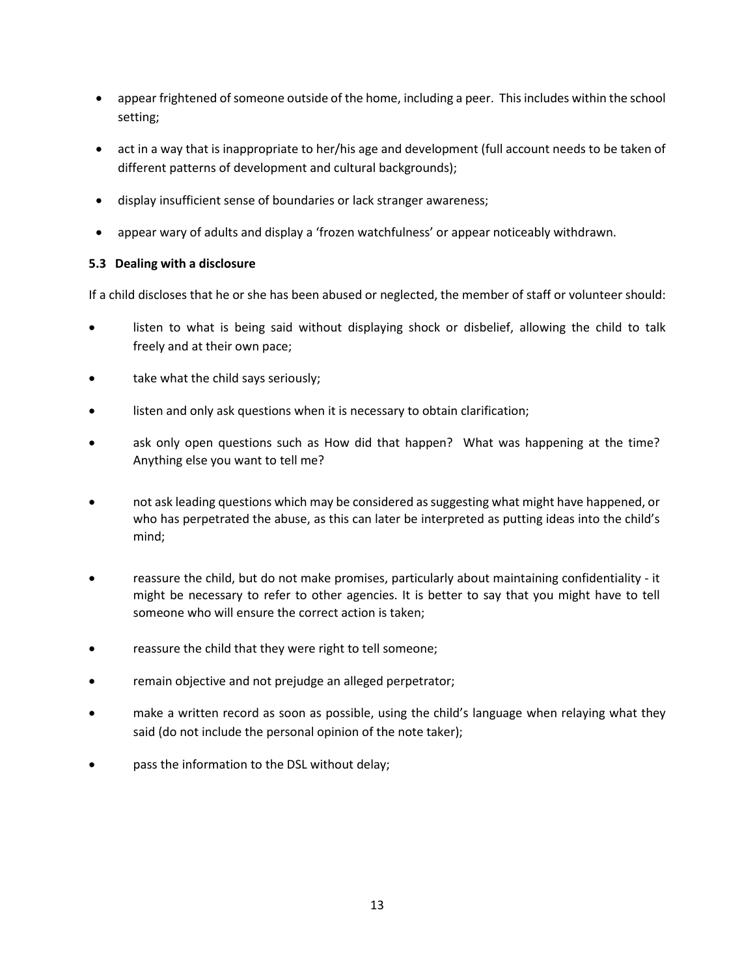- appear frightened of someone outside of the home, including a peer. This includes within the school setting;
- act in a way that is inappropriate to her/his age and development (full account needs to be taken of different patterns of development and cultural backgrounds);
- display insufficient sense of boundaries or lack stranger awareness;
- appear wary of adults and display a 'frozen watchfulness' or appear noticeably withdrawn.

## **5.3 Dealing with a disclosure**

If a child discloses that he or she has been abused or neglected, the member of staff or volunteer should:

- listen to what is being said without displaying shock or disbelief, allowing the child to talk freely and at their own pace;
- take what the child says seriously;
- listen and only ask questions when it is necessary to obtain clarification;
- ask only open questions such as How did that happen? What was happening at the time? Anything else you want to tell me?
- not ask leading questions which may be considered as suggesting what might have happened, or who has perpetrated the abuse, as this can later be interpreted as putting ideas into the child's mind;
- reassure the child, but do not make promises, particularly about maintaining confidentiality it might be necessary to refer to other agencies. It is better to say that you might have to tell someone who will ensure the correct action is taken;
- reassure the child that they were right to tell someone;
- remain objective and not prejudge an alleged perpetrator;
- make a written record as soon as possible, using the child's language when relaying what they said (do not include the personal opinion of the note taker);
- pass the information to the DSL without delay;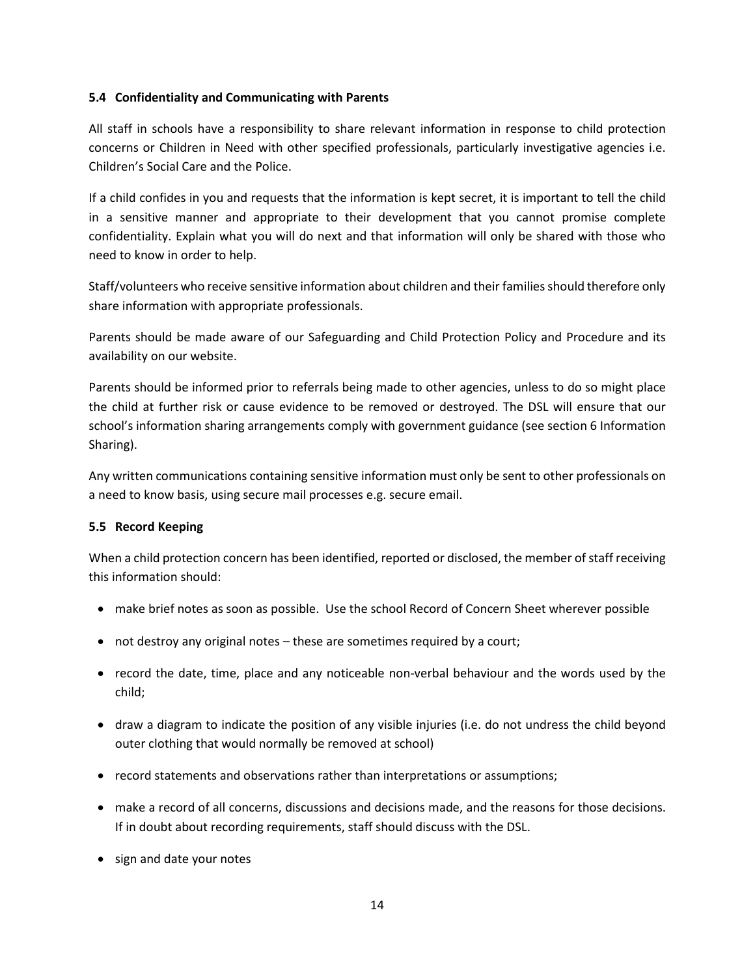#### **5.4 Confidentiality and Communicating with Parents**

All staff in schools have a responsibility to share relevant information in response to child protection concerns or Children in Need with other specified professionals, particularly investigative agencies i.e. Children's Social Care and the Police.

If a child confides in you and requests that the information is kept secret, it is important to tell the child in a sensitive manner and appropriate to their development that you cannot promise complete confidentiality. Explain what you will do next and that information will only be shared with those who need to know in order to help.

Staff/volunteers who receive sensitive information about children and their families should therefore only share information with appropriate professionals.

Parents should be made aware of our Safeguarding and Child Protection Policy and Procedure and its availability on our website.

Parents should be informed prior to referrals being made to other agencies, unless to do so might place the child at further risk or cause evidence to be removed or destroyed. The DSL will ensure that our school's information sharing arrangements comply with government guidance (see section 6 Information Sharing).

Any written communications containing sensitive information must only be sent to other professionals on a need to know basis, using secure mail processes e.g. secure email.

#### **5.5 Record Keeping**

When a child protection concern has been identified, reported or disclosed, the member of staff receiving this information should:

- make brief notes as soon as possible. Use the school Record of Concern Sheet wherever possible
- not destroy any original notes these are sometimes required by a court;
- record the date, time, place and any noticeable non-verbal behaviour and the words used by the child;
- draw a diagram to indicate the position of any visible injuries (i.e. do not undress the child beyond outer clothing that would normally be removed at school)
- record statements and observations rather than interpretations or assumptions;
- make a record of all concerns, discussions and decisions made, and the reasons for those decisions. If in doubt about recording requirements, staff should discuss with the DSL.
- sign and date your notes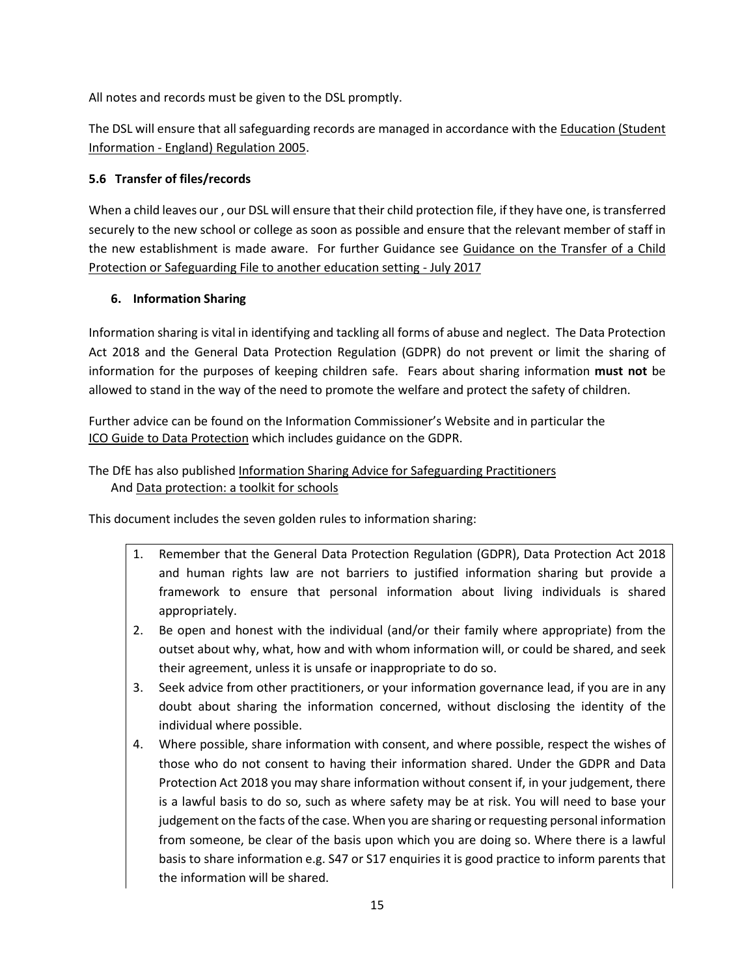All notes and records must be given to the DSL promptly.

The DSL will ensure that all safeguarding records are managed in accordance with th[e Education \(Student](http://www.legislation.gov.uk/uksi/2005/1437/regulation/6/made) Information - [England\) Regulation 2005.](http://www.legislation.gov.uk/uksi/2005/1437/regulation/6/made)

## **5.6 Transfer of files/records**

When a child leaves our , our DSL will ensure that their child protection file, if they have one, is transferred securely to the new school or college as soon as possible and ensure that the relevant member of staff in the new establishment is made aware. For further Guidance see [Guidance on the Transfer of a Child](http://www.harrowlscb.co.uk/wp-content/uploads/2015/06/Guidance-on-the-transfer-of-a-child-protection-safeguarding-file-1.pdf)  [Protection or Safeguarding File to another education](http://www.harrowlscb.co.uk/wp-content/uploads/2015/06/Guidance-on-the-transfer-of-a-child-protection-safeguarding-file-1.pdf) setting - July 2017

## **6. Information Sharing**

Information sharing is vital in identifying and tackling all forms of abuse and neglect. The Data Protection Act 2018 and the General Data Protection Regulation (GDPR) do not prevent or limit the sharing of information for the purposes of keeping children safe. Fears about sharing information **must not** be allowed to stand in the way of the need to promote the welfare and protect the safety of children.

Further advice can be found on the Information Commissioner's Website and in particular the [ICO Guide to Data Protection](https://ico.org.uk/for-organisations/guide-to-data-protection/) which includes guidance on the GDPR.

## The DfE has also publishe[d Information Sharing Advice for Safeguarding Practitioners](https://d.docs.live.net/b54dd050185e1c2e/Documents/Everything%2002%20September%202018/Coral/Model%20Safeguarding%20and%20Child%20Protection%20Policy%20draft%20Oct%2019.docx) And [Data protection: a toolkit for schools](https://assets.publishing.service.gov.uk/government/uploads/system/uploads/attachment_data/file/747620/Data_Protection_Toolkit_for_Schools_OpenBeta.pdf)

This document includes the seven golden rules to information sharing:

- 1. Remember that the General Data Protection Regulation (GDPR), Data Protection Act 2018 and human rights law are not barriers to justified information sharing but provide a framework to ensure that personal information about living individuals is shared appropriately.
- 2. Be open and honest with the individual (and/or their family where appropriate) from the outset about why, what, how and with whom information will, or could be shared, and seek their agreement, unless it is unsafe or inappropriate to do so.
- 3. Seek advice from other practitioners, or your information governance lead, if you are in any doubt about sharing the information concerned, without disclosing the identity of the individual where possible.
- 4. Where possible, share information with consent, and where possible, respect the wishes of those who do not consent to having their information shared. Under the GDPR and Data Protection Act 2018 you may share information without consent if, in your judgement, there is a lawful basis to do so, such as where safety may be at risk. You will need to base your judgement on the facts of the case. When you are sharing or requesting personal information from someone, be clear of the basis upon which you are doing so. Where there is a lawful basis to share information e.g. S47 or S17 enquiries it is good practice to inform parents that the information will be shared.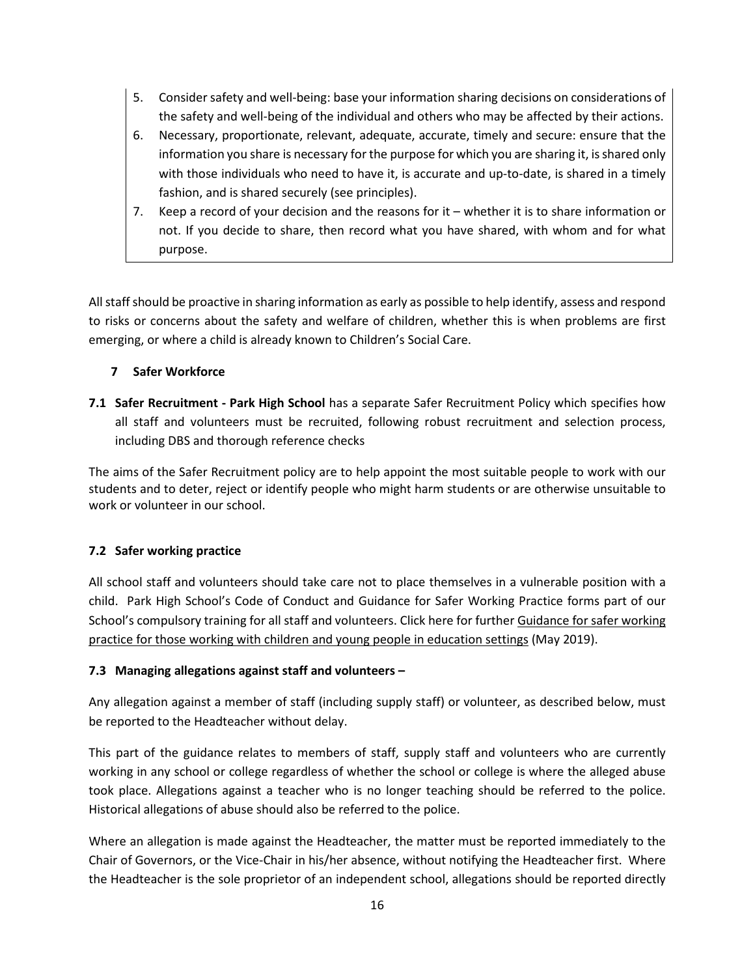- 5. Consider safety and well-being: base your information sharing decisions on considerations of the safety and well-being of the individual and others who may be affected by their actions.
- 6. Necessary, proportionate, relevant, adequate, accurate, timely and secure: ensure that the information you share is necessary for the purpose for which you are sharing it, is shared only with those individuals who need to have it, is accurate and up-to-date, is shared in a timely fashion, and is shared securely (see principles).
- 7. Keep a record of your decision and the reasons for it whether it is to share information or not. If you decide to share, then record what you have shared, with whom and for what purpose.

All staff should be proactive in sharing information as early as possible to help identify, assess and respond to risks or concerns about the safety and welfare of children, whether this is when problems are first emerging, or where a child is already known to Children's Social Care.

## **7 Safer Workforce**

**7.1 Safer Recruitment - Park High School** has a separate Safer Recruitment Policy which specifies how all staff and volunteers must be recruited, following robust recruitment and selection process, including DBS and thorough reference checks

The aims of the Safer Recruitment policy are to help appoint the most suitable people to work with our students and to deter, reject or identify people who might harm students or are otherwise unsuitable to work or volunteer in our school.

## **7.2 Safer working practice**

All school staff and volunteers should take care not to place themselves in a vulnerable position with a child. Park High School's Code of Conduct and Guidance for Safer Working Practice forms part of our School's compulsory training for all staff and volunteers. Click here for furthe[r Guidance for safer working](https://www.saferrecruitmentconsortium.org/GSWP%20Sept%202019.pdf)  [practice for those working with children and young people in education settings](https://www.saferrecruitmentconsortium.org/GSWP%20Sept%202019.pdf) (May 2019).

## **7.3 Managing allegations against staff and volunteers –**

Any allegation against a member of staff (including supply staff) or volunteer, as described below, must be reported to the Headteacher without delay.

This part of the guidance relates to members of staff, supply staff and volunteers who are currently working in any school or college regardless of whether the school or college is where the alleged abuse took place. Allegations against a teacher who is no longer teaching should be referred to the police. Historical allegations of abuse should also be referred to the police.

Where an allegation is made against the Headteacher, the matter must be reported immediately to the Chair of Governors, or the Vice-Chair in his/her absence, without notifying the Headteacher first. Where the Headteacher is the sole proprietor of an independent school, allegations should be reported directly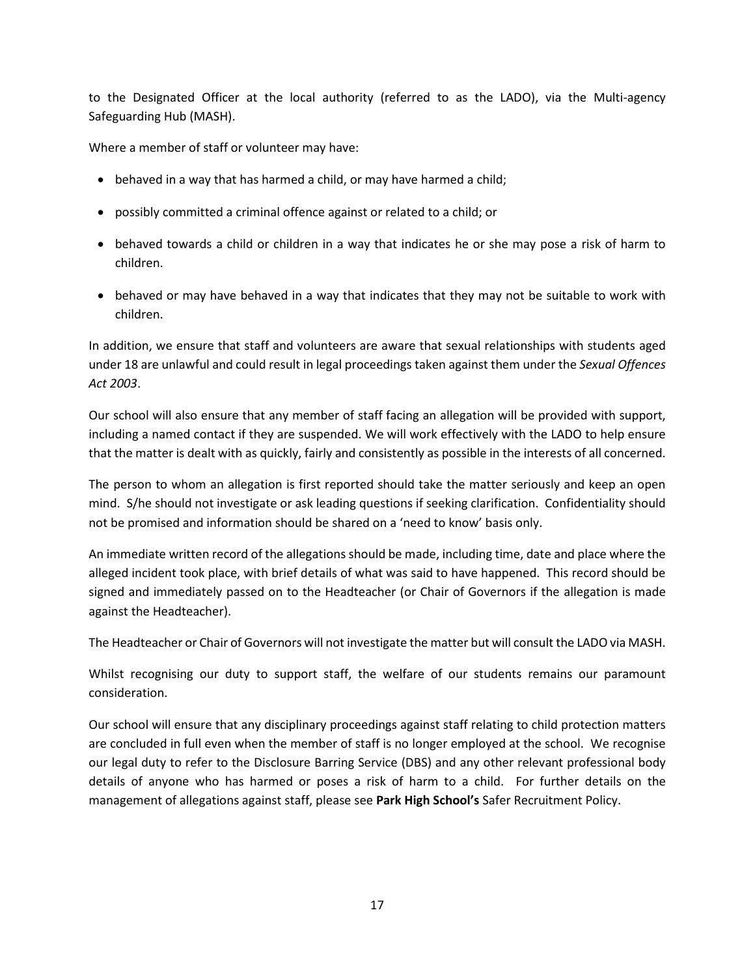to the Designated Officer at the local authority (referred to as the LADO), via the Multi-agency Safeguarding Hub (MASH).

Where a member of staff or volunteer may have:

- behaved in a way that has harmed a child, or may have harmed a child;
- possibly committed a criminal offence against or related to a child; or
- behaved towards a child or children in a way that indicates he or she may pose a risk of harm to children.
- behaved or may have behaved in a way that indicates that they may not be suitable to work with children.

In addition, we ensure that staff and volunteers are aware that sexual relationships with students aged under 18 are unlawful and could result in legal proceedings taken against them under the *Sexual Offences Act 2003*.

Our school will also ensure that any member of staff facing an allegation will be provided with support, including a named contact if they are suspended. We will work effectively with the LADO to help ensure that the matter is dealt with as quickly, fairly and consistently as possible in the interests of all concerned.

The person to whom an allegation is first reported should take the matter seriously and keep an open mind. S/he should not investigate or ask leading questions if seeking clarification. Confidentiality should not be promised and information should be shared on a 'need to know' basis only.

An immediate written record of the allegations should be made, including time, date and place where the alleged incident took place, with brief details of what was said to have happened. This record should be signed and immediately passed on to the Headteacher (or Chair of Governors if the allegation is made against the Headteacher).

The Headteacher or Chair of Governors will not investigate the matter but will consult the LADO via MASH.

Whilst recognising our duty to support staff, the welfare of our students remains our paramount consideration.

Our school will ensure that any disciplinary proceedings against staff relating to child protection matters are concluded in full even when the member of staff is no longer employed at the school. We recognise our legal duty to refer to the Disclosure Barring Service (DBS) and any other relevant professional body details of anyone who has harmed or poses a risk of harm to a child. For further details on the management of allegations against staff, please see **Park High School's** Safer Recruitment Policy.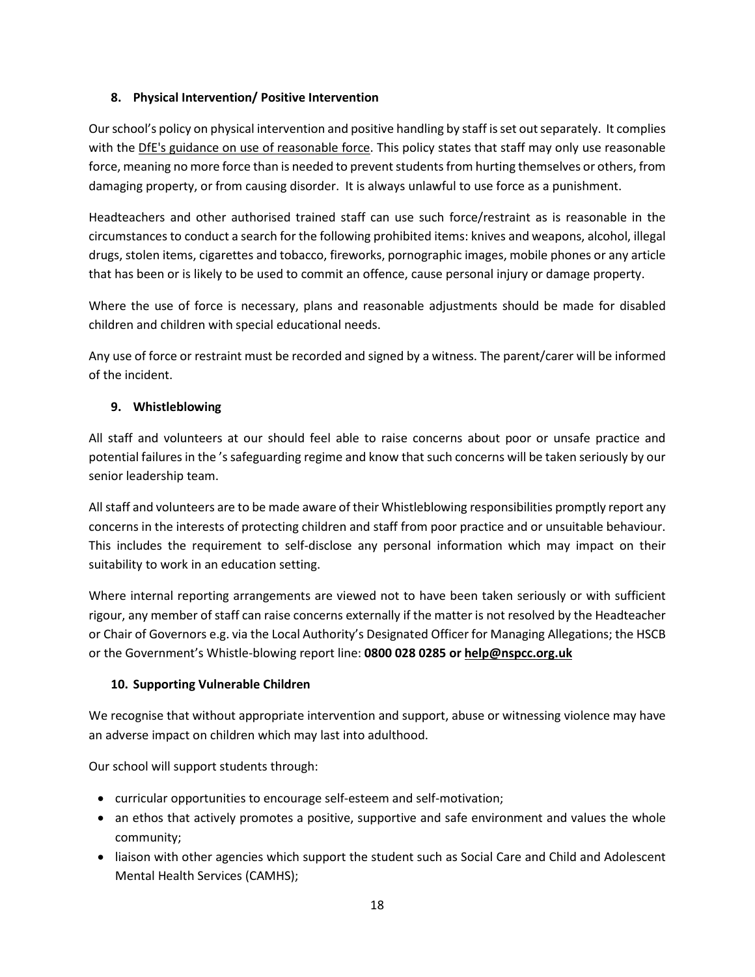## **8. Physical Intervention/ Positive Intervention**

Our school's policy on physical intervention and positive handling by staff is set out separately. It complies with the DfE's guidance [on use of reasonable force.](https://www.gov.uk/government/publications/use-of-reasonable-force-in-schools) This policy states that staff may only use reasonable force, meaning no more force than is needed to prevent students from hurting themselves or others, from damaging property, or from causing disorder. It is always unlawful to use force as a punishment.

Headteachers and other authorised trained staff can use such force/restraint as is reasonable in the circumstances to conduct a search for the following prohibited items: knives and weapons, alcohol, illegal drugs, stolen items, cigarettes and tobacco, fireworks, pornographic images, mobile phones or any article that has been or is likely to be used to commit an offence, cause personal injury or damage property.

Where the use of force is necessary, plans and reasonable adjustments should be made for disabled children and children with special educational needs.

Any use of force or restraint must be recorded and signed by a witness. The parent/carer will be informed of the incident.

## **9. Whistleblowing**

All staff and volunteers at our should feel able to raise concerns about poor or unsafe practice and potential failures in the 's safeguarding regime and know that such concerns will be taken seriously by our senior leadership team.

All staff and volunteers are to be made aware of their Whistleblowing responsibilities promptly report any concerns in the interests of protecting children and staff from poor practice and or unsuitable behaviour. This includes the requirement to self-disclose any personal information which may impact on their suitability to work in an education setting.

Where internal reporting arrangements are viewed not to have been taken seriously or with sufficient rigour, any member of staff can raise concerns externally if the matter is not resolved by the Headteacher or Chair of Governors e.g. via the Local Authority's Designated Officer for Managing Allegations; the HSCB or the Government's Whistle-blowing report line: **0800 028 0285 o[r help@nspcc.org.uk](mailto:help@nspcc.org.uk)**

## **10. Supporting Vulnerable Children**

We recognise that without appropriate intervention and support, abuse or witnessing violence may have an adverse impact on children which may last into adulthood.

Our school will support students through:

- curricular opportunities to encourage self-esteem and self-motivation;
- an ethos that actively promotes a positive, supportive and safe environment and values the whole community;
- liaison with other agencies which support the student such as Social Care and Child and Adolescent Mental Health Services (CAMHS);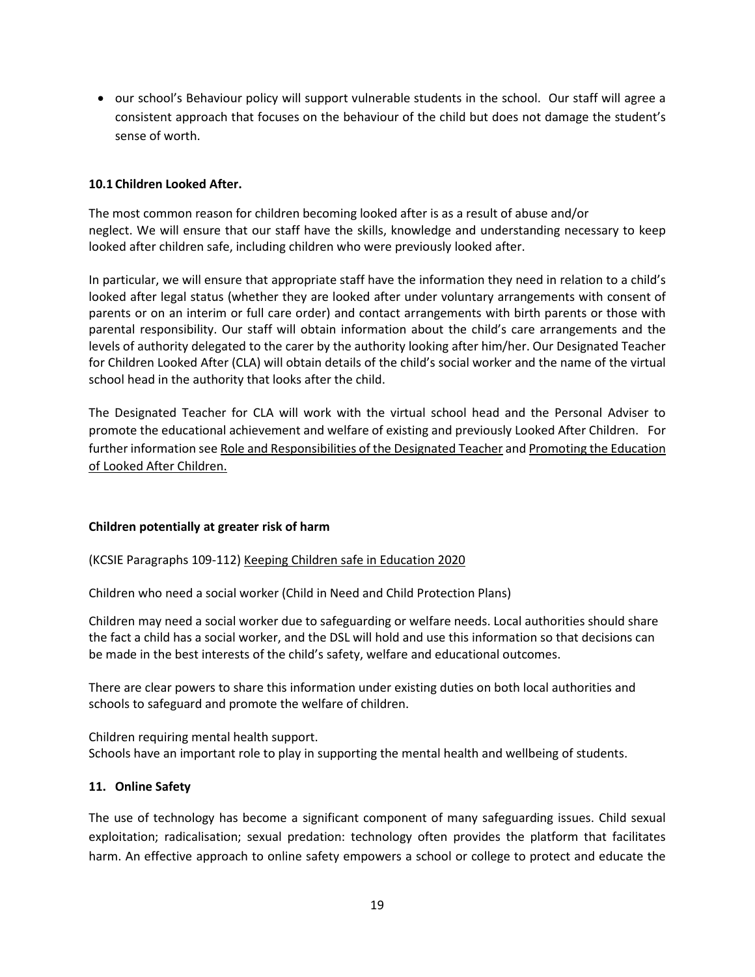• our school's Behaviour policy will support vulnerable students in the school. Our staff will agree a consistent approach that focuses on the behaviour of the child but does not damage the student's sense of worth.

#### **10.1 Children Looked After.**

The most common reason for children becoming looked after is as a result of abuse and/or neglect. We will ensure that our staff have the skills, knowledge and understanding necessary to keep looked after children safe, including children who were previously looked after.

In particular, we will ensure that appropriate staff have the information they need in relation to a child's looked after legal status (whether they are looked after under voluntary arrangements with consent of parents or on an interim or full care order) and contact arrangements with birth parents or those with parental responsibility. Our staff will obtain information about the child's care arrangements and the levels of authority delegated to the carer by the authority looking after him/her. Our Designated Teacher for Children Looked After (CLA) will obtain details of the child's social worker and the name of the virtual school head in the authority that looks after the child.

The Designated Teacher for CLA will work with the virtual school head and the Personal Adviser to promote the educational achievement and welfare of existing and previously Looked After Children. For further information se[e Role and Responsibilities of the Designated Teacher](http://lewishamvirtualschool.org.uk/mdocs-posts/the-role-and-responsibilities-of-the-designated-teacher-for-looked-after-children/) and [Promoting the Education](https://www.gov.uk/government/publications/promoting-the-education-of-looked-after-children)  [of Looked After Children.](https://www.gov.uk/government/publications/promoting-the-education-of-looked-after-children)

#### **Children potentially at greater risk of harm**

(KCSIE Paragraphs 109-112) [Keeping Children safe in Education 2020](https://assets.publishing.service.gov.uk/government/uploads/system/uploads/attachment_data/file/912592/Keeping_children_safe_in_education_Sep_2020.pdf)

Children who need a social worker (Child in Need and Child Protection Plans)

Children may need a social worker due to safeguarding or welfare needs. Local authorities should share the fact a child has a social worker, and the DSL will hold and use this information so that decisions can be made in the best interests of the child's safety, welfare and educational outcomes.

There are clear powers to share this information under existing duties on both local authorities and schools to safeguard and promote the welfare of children.

Children requiring mental health support. Schools have an important role to play in supporting the mental health and wellbeing of students.

#### **11. Online Safety**

The use of technology has become a significant component of many safeguarding issues. Child sexual exploitation; radicalisation; sexual predation: technology often provides the platform that facilitates harm. An effective approach to online safety empowers a school or college to protect and educate the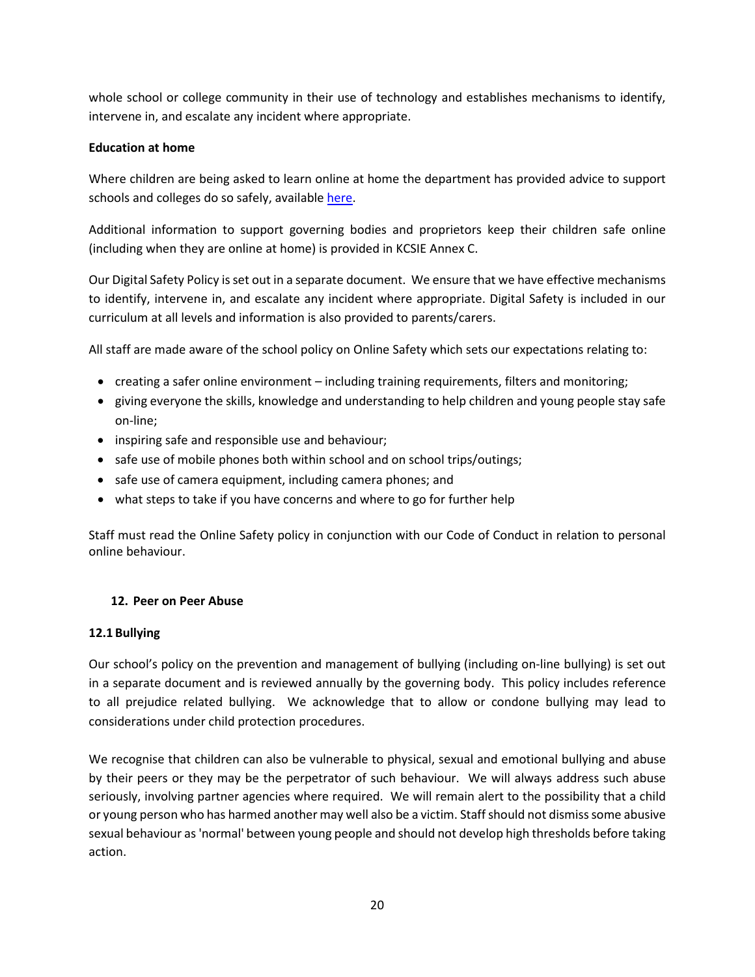whole school or college community in their use of technology and establishes mechanisms to identify, intervene in, and escalate any incident where appropriate.

## **Education at home**

Where children are being asked to learn online at home the department has provided advice to support schools and colleges do so safely, available [here.](https://www.gov.uk/guidance/safeguarding-and-remote-education-during-coronavirus-covid-19)

Additional information to support governing bodies and proprietors keep their children safe online (including when they are online at home) is provided in KCSIE Annex C.

Our Digital Safety Policy is set out in a separate document. We ensure that we have effective mechanisms to identify, intervene in, and escalate any incident where appropriate. Digital Safety is included in our curriculum at all levels and information is also provided to parents/carers.

All staff are made aware of the school policy on Online Safety which sets our expectations relating to:

- creating a safer online environment including training requirements, filters and monitoring;
- giving everyone the skills, knowledge and understanding to help children and young people stay safe on-line;
- inspiring safe and responsible use and behaviour;
- safe use of mobile phones both within school and on school trips/outings;
- safe use of camera equipment, including camera phones; and
- what steps to take if you have concerns and where to go for further help

Staff must read the Online Safety policy in conjunction with our Code of Conduct in relation to personal online behaviour.

#### **12. Peer on Peer Abuse**

#### **12.1 Bullying**

Our school's policy on the prevention and management of bullying (including on-line bullying) is set out in a separate document and is reviewed annually by the governing body. This policy includes reference to all prejudice related bullying. We acknowledge that to allow or condone bullying may lead to considerations under child protection procedures.

We recognise that children can also be vulnerable to physical, sexual and emotional bullying and abuse by their peers or they may be the perpetrator of such behaviour. We will always address such abuse seriously, involving partner agencies where required. We will remain alert to the possibility that a child or young person who has harmed another may well also be a victim. Staff should not dismiss some abusive sexual behaviour as 'normal' between young people and should not develop high thresholds before taking action.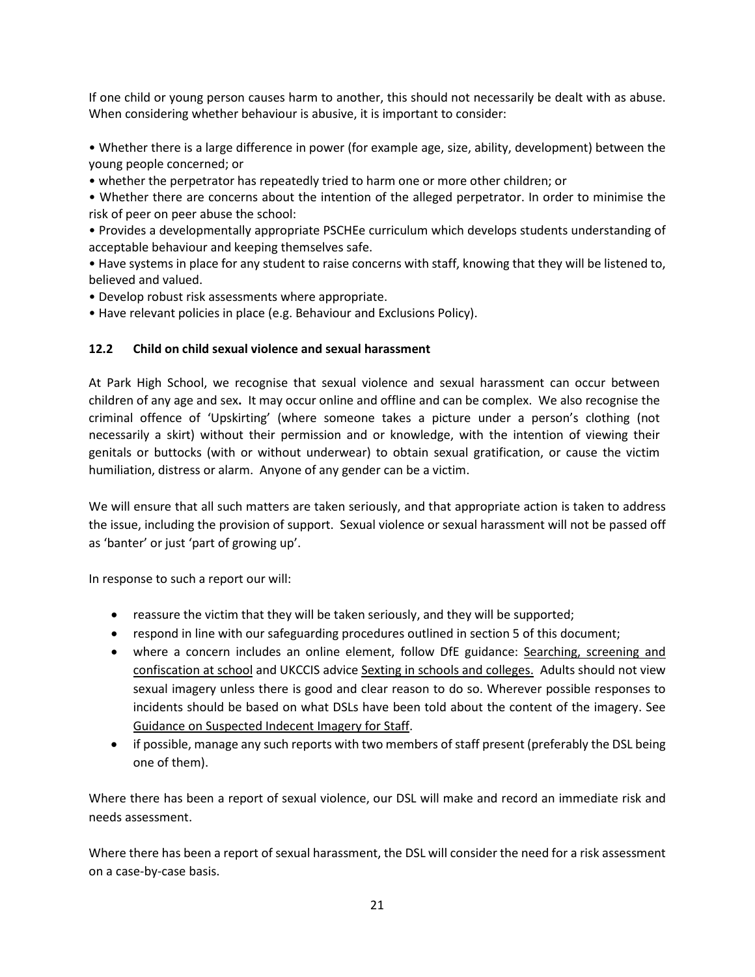If one child or young person causes harm to another, this should not necessarily be dealt with as abuse. When considering whether behaviour is abusive, it is important to consider:

• Whether there is a large difference in power (for example age, size, ability, development) between the young people concerned; or

• whether the perpetrator has repeatedly tried to harm one or more other children; or

• Whether there are concerns about the intention of the alleged perpetrator. In order to minimise the risk of peer on peer abuse the school:

• Provides a developmentally appropriate PSCHEe curriculum which develops students understanding of acceptable behaviour and keeping themselves safe.

• Have systems in place for any student to raise concerns with staff, knowing that they will be listened to, believed and valued.

• Develop robust risk assessments where appropriate.

• Have relevant policies in place (e.g. Behaviour and Exclusions Policy).

## **12.2 Child on child sexual violence and sexual harassment**

At Park High School, we recognise that sexual violence and sexual harassment can occur between children of any age and sex**.** It may occur online and offline and can be complex. We also recognise the criminal offence of 'Upskirting' (where someone takes a picture under a person's clothing (not necessarily a skirt) without their permission and or knowledge, with the intention of viewing their genitals or buttocks (with or without underwear) to obtain sexual gratification, or cause the victim humiliation, distress or alarm. Anyone of any gender can be a victim.

We will ensure that all such matters are taken seriously, and that appropriate action is taken to address the issue, including the provision of support. Sexual violence or sexual harassment will not be passed off as 'banter' or just 'part of growing up'.

In response to such a report our will:

- reassure the victim that they will be taken seriously, and they will be supported;
- respond in line with our safeguarding procedures outlined in section 5 of this document;
- where a concern includes an online element, follow DfE guidance: [Searching, screening and](https://www.gov.uk/government/publications/searching-screening-and-confiscation)  [confiscation at school](https://www.gov.uk/government/publications/searching-screening-and-confiscation) and UKCCIS advice [Sexting in schools and colleges.](https://www.gov.uk/government/publications/sexting-in-schools-and-colleges) Adults should not view sexual imagery unless there is good and clear reason to do so. Wherever possible responses to incidents should be based on what DSLs have been told about the content of the imagery. See [Guidance on Suspected Indecent Imagery for Staff.](http://www.harrowscb.co.uk/wp-content/uploads/2019/10/Suspected-Indecent-Imagery-Protocol-for-staff.pdf)
- if possible, manage any such reports with two members of staff present (preferably the DSL being one of them).

Where there has been a report of sexual violence, our DSL will make and record an immediate risk and needs assessment.

Where there has been a report of sexual harassment, the DSL will consider the need for a risk assessment on a case-by-case basis.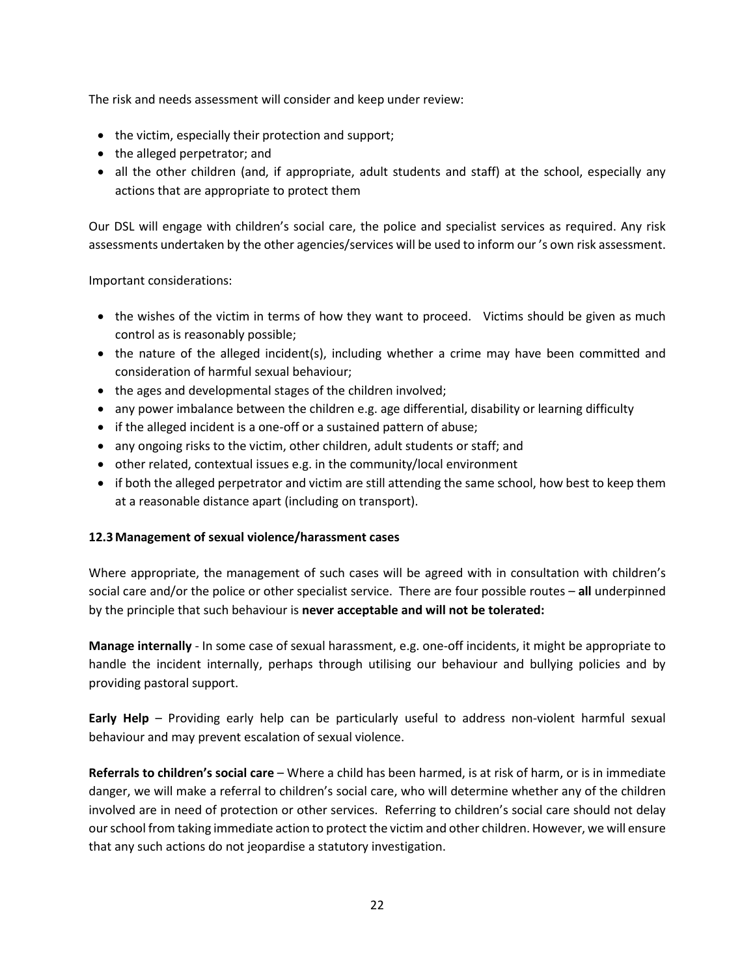The risk and needs assessment will consider and keep under review:

- the victim, especially their protection and support;
- the alleged perpetrator; and
- all the other children (and, if appropriate, adult students and staff) at the school, especially any actions that are appropriate to protect them

Our DSL will engage with children's social care, the police and specialist services as required. Any risk assessments undertaken by the other agencies/services will be used to inform our 's own risk assessment.

Important considerations:

- the wishes of the victim in terms of how they want to proceed. Victims should be given as much control as is reasonably possible;
- the nature of the alleged incident(s), including whether a crime may have been committed and consideration of harmful sexual behaviour;
- the ages and developmental stages of the children involved;
- any power imbalance between the children e.g. age differential, disability or learning difficulty
- if the alleged incident is a one-off or a sustained pattern of abuse;
- any ongoing risks to the victim, other children, adult students or staff; and
- other related, contextual issues e.g. in the community/local environment
- if both the alleged perpetrator and victim are still attending the same school, how best to keep them at a reasonable distance apart (including on transport).

## **12.3Management of sexual violence/harassment cases**

Where appropriate, the management of such cases will be agreed with in consultation with children's social care and/or the police or other specialist service. There are four possible routes – **all** underpinned by the principle that such behaviour is **never acceptable and will not be tolerated:**

**Manage internally** - In some case of sexual harassment, e.g. one-off incidents, it might be appropriate to handle the incident internally, perhaps through utilising our behaviour and bullying policies and by providing pastoral support.

**Early Help** – Providing early help can be particularly useful to address non-violent harmful sexual behaviour and may prevent escalation of sexual violence.

**Referrals to children's social care** – Where a child has been harmed, is at risk of harm, or is in immediate danger, we will make a referral to children's social care, who will determine whether any of the children involved are in need of protection or other services. Referring to children's social care should not delay our school from taking immediate action to protect the victim and other children. However, we will ensure that any such actions do not jeopardise a statutory investigation.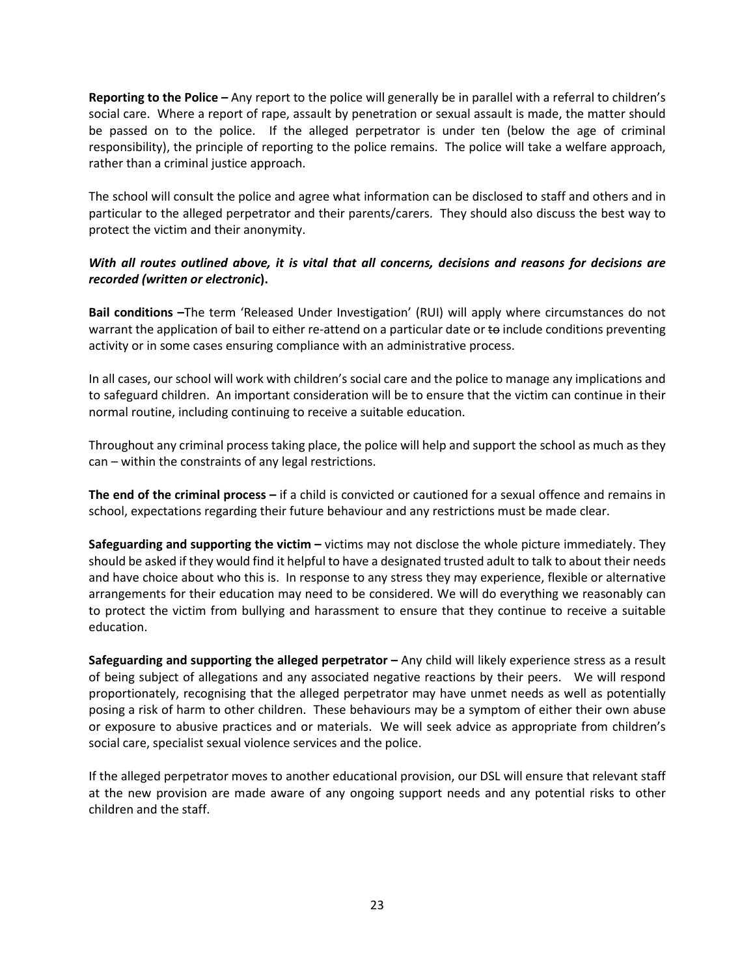**Reporting to the Police –** Any report to the police will generally be in parallel with a referral to children's social care. Where a report of rape, assault by penetration or sexual assault is made, the matter should be passed on to the police. If the alleged perpetrator is under ten (below the age of criminal responsibility), the principle of reporting to the police remains. The police will take a welfare approach, rather than a criminal justice approach.

The school will consult the police and agree what information can be disclosed to staff and others and in particular to the alleged perpetrator and their parents/carers. They should also discuss the best way to protect the victim and their anonymity.

## *With all routes outlined above, it is vital that all concerns, decisions and reasons for decisions are recorded (written or electronic***).**

**Bail conditions –**The term 'Released Under Investigation' (RUI) will apply where circumstances do not warrant the application of bail to either re-attend on a particular date or to include conditions preventing activity or in some cases ensuring compliance with an administrative process.

In all cases, our school will work with children's social care and the police to manage any implications and to safeguard children. An important consideration will be to ensure that the victim can continue in their normal routine, including continuing to receive a suitable education.

Throughout any criminal process taking place, the police will help and support the school as much as they can – within the constraints of any legal restrictions.

**The end of the criminal process –** if a child is convicted or cautioned for a sexual offence and remains in school, expectations regarding their future behaviour and any restrictions must be made clear.

**Safeguarding and supporting the victim –** victims may not disclose the whole picture immediately. They should be asked if they would find it helpful to have a designated trusted adult to talk to about their needs and have choice about who this is. In response to any stress they may experience, flexible or alternative arrangements for their education may need to be considered. We will do everything we reasonably can to protect the victim from bullying and harassment to ensure that they continue to receive a suitable education.

**Safeguarding and supporting the alleged perpetrator –** Any child will likely experience stress as a result of being subject of allegations and any associated negative reactions by their peers. We will respond proportionately, recognising that the alleged perpetrator may have unmet needs as well as potentially posing a risk of harm to other children. These behaviours may be a symptom of either their own abuse or exposure to abusive practices and or materials. We will seek advice as appropriate from children's social care, specialist sexual violence services and the police.

If the alleged perpetrator moves to another educational provision, our DSL will ensure that relevant staff at the new provision are made aware of any ongoing support needs and any potential risks to other children and the staff.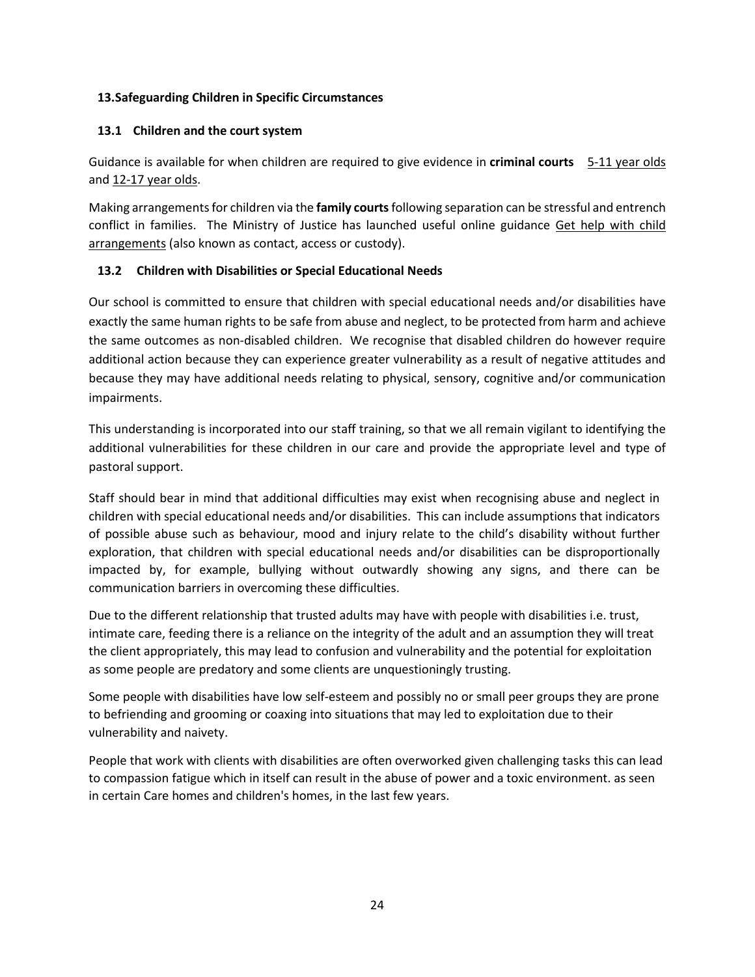## **13.Safeguarding Children in Specific Circumstances**

## **13.1 Children and the court system**

Guidance is available for when children are required to give evidence in **criminal courts** [5-11 year olds](https://www.gov.uk/government/publications/young-witness-booklet-for-5-to-11-year-olds) and [12-17 year olds.](https://www.gov.uk/government/publications/young-witness-booklet-for-12-to-17-year-olds)

Making arrangements for children via the **family courts**following separation can be stressful and entrench conflict in families. The Ministry of Justice has launched useful online guidance Get help [with child](https://helpwithchildarrangements.service.justice.gov.uk/)  [arrangements](https://helpwithchildarrangements.service.justice.gov.uk/) (also known as contact, access or custody).

## **13.2 Children with Disabilities or Special Educational Needs**

Our school is committed to ensure that children with special educational needs and/or disabilities have exactly the same human rights to be safe from abuse and neglect, to be protected from harm and achieve the same outcomes as non-disabled children. We recognise that disabled children do however require additional action because they can experience greater vulnerability as a result of negative attitudes and because they may have additional needs relating to physical, sensory, cognitive and/or communication impairments.

This understanding is incorporated into our staff training, so that we all remain vigilant to identifying the additional vulnerabilities for these children in our care and provide the appropriate level and type of pastoral support.

Staff should bear in mind that additional difficulties may exist when recognising abuse and neglect in children with special educational needs and/or disabilities. This can include assumptions that indicators of possible abuse such as behaviour, mood and injury relate to the child's disability without further exploration, that children with special educational needs and/or disabilities can be disproportionally impacted by, for example, bullying without outwardly showing any signs, and there can be communication barriers in overcoming these difficulties.

Due to the different relationship that trusted adults may have with people with disabilities i.e. trust, intimate care, feeding there is a reliance on the integrity of the adult and an assumption they will treat the client appropriately, this may lead to confusion and vulnerability and the potential for exploitation as some people are predatory and some clients are unquestioningly trusting.

Some people with disabilities have low self-esteem and possibly no or small peer groups they are prone to befriending and grooming or coaxing into situations that may led to exploitation due to their vulnerability and naivety.

People that work with clients with disabilities are often overworked given challenging tasks this can lead to compassion fatigue which in itself can result in the abuse of power and a toxic environment. as seen in certain Care homes and children's homes, in the last few years.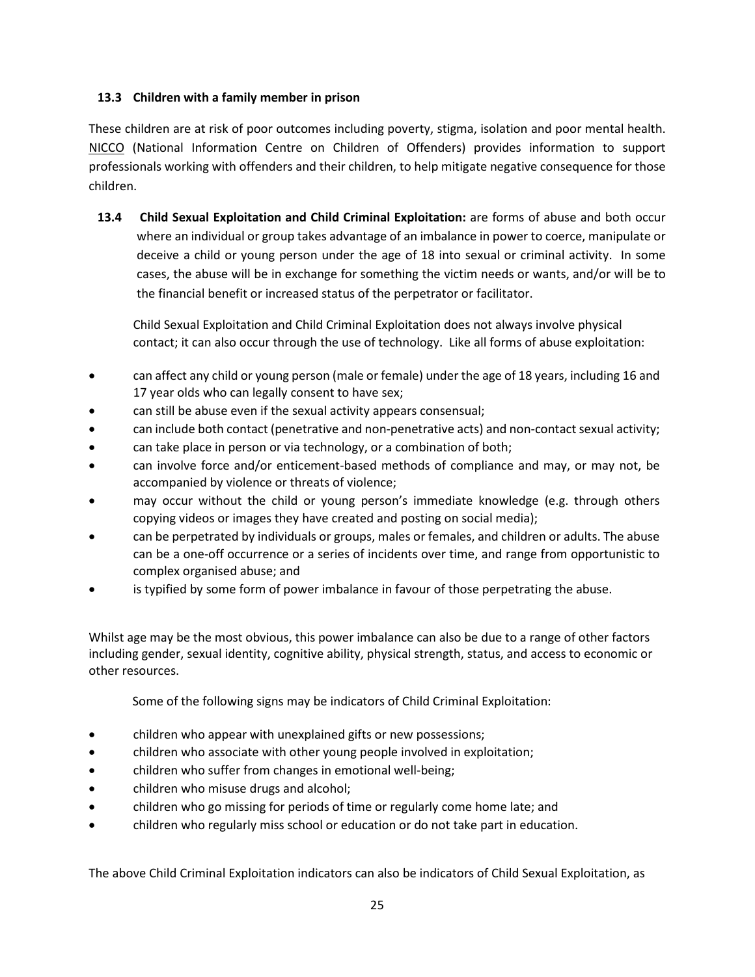## **13.3 Children with a family member in prison**

These children are at risk of poor outcomes including poverty, stigma, isolation and poor mental health. [NICCO](https://www.nicco.org.uk/) (National Information Centre on Children of Offenders) provides information to support professionals working with offenders and their children, to help mitigate negative consequence for those children.

**13.4 Child Sexual Exploitation and Child Criminal Exploitation:** are forms of abuse and both occur where an individual or group takes advantage of an imbalance in power to coerce, manipulate or deceive a child or young person under the age of 18 into sexual or criminal activity. In some cases, the abuse will be in exchange for something the victim needs or wants, and/or will be to the financial benefit or increased status of the perpetrator or facilitator.

Child Sexual Exploitation and Child Criminal Exploitation does not always involve physical contact; it can also occur through the use of technology. Like all forms of abuse exploitation:

- can affect any child or young person (male or female) under the age of 18 years, including 16 and 17 year olds who can legally consent to have sex;
- can still be abuse even if the sexual activity appears consensual;
- can include both contact (penetrative and non-penetrative acts) and non-contact sexual activity;
- can take place in person or via technology, or a combination of both;
- can involve force and/or enticement-based methods of compliance and may, or may not, be accompanied by violence or threats of violence;
- may occur without the child or young person's immediate knowledge (e.g. through others copying videos or images they have created and posting on social media);
- can be perpetrated by individuals or groups, males or females, and children or adults. The abuse can be a one-off occurrence or a series of incidents over time, and range from opportunistic to complex organised abuse; and
- is typified by some form of power imbalance in favour of those perpetrating the abuse.

Whilst age may be the most obvious, this power imbalance can also be due to a range of other factors including gender, sexual identity, cognitive ability, physical strength, status, and access to economic or other resources.

Some of the following signs may be indicators of Child Criminal Exploitation:

- children who appear with unexplained gifts or new possessions;
- children who associate with other young people involved in exploitation;
- children who suffer from changes in emotional well-being;
- children who misuse drugs and alcohol;
- children who go missing for periods of time or regularly come home late; and
- children who regularly miss school or education or do not take part in education.

The above Child Criminal Exploitation indicators can also be indicators of Child Sexual Exploitation, as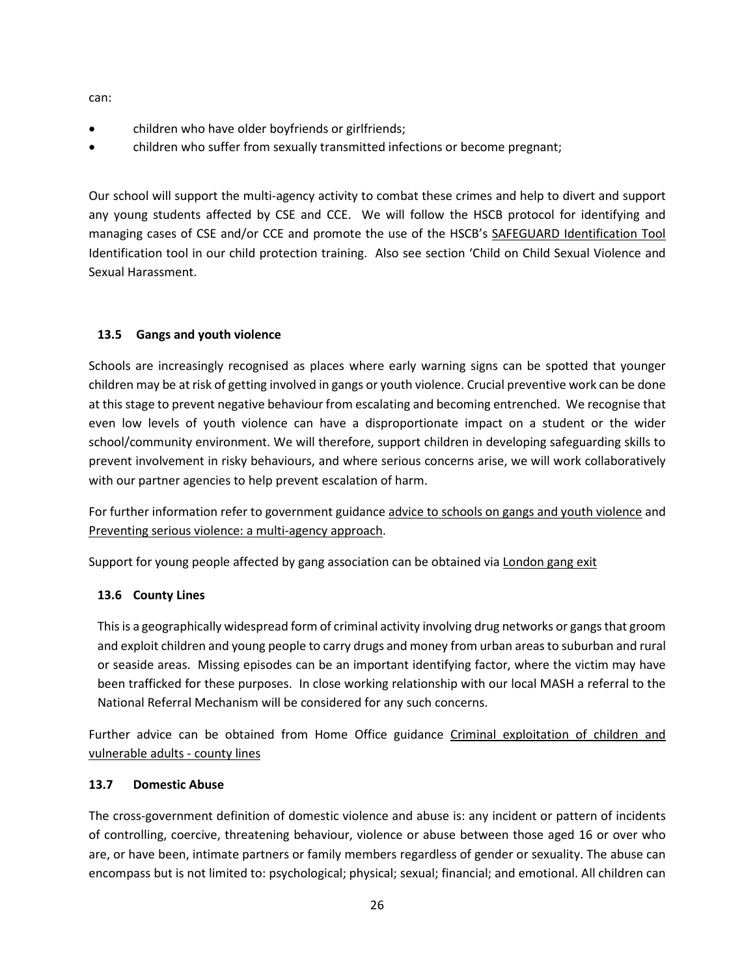can:

- children who have older boyfriends or girlfriends;
- children who suffer from sexually transmitted infections or become pregnant;

Our school will support the multi-agency activity to combat these crimes and help to divert and support any young students affected by CSE and CCE. We will follow the HSCB protocol for identifying and managing cases of CSE and/or CCE and promote the use of the HSCB's [SAFEGUARD Identification Tool](http://www.harrowlscb.co.uk/wp-content/uploads/2015/05/S-A-F-E-G-U-A-R-D-cse-identification-tool.pdf) Identification tool in our child protection training. Also see section 'Child on Child Sexual Violence and Sexual Harassment.

## **13.5 Gangs and youth violence**

Schools are increasingly recognised as places where early warning signs can be spotted that younger children may be at risk of getting involved in gangs or youth violence. Crucial preventive work can be done at this stage to prevent negative behaviour from escalating and becoming entrenched. We recognise that even low levels of youth violence can have a disproportionate impact on a student or the wider school/community environment. We will therefore, support children in developing safeguarding skills to prevent involvement in risky behaviours, and where serious concerns arise, we will work collaboratively with our partner agencies to help prevent escalation of harm.

For further information refer to government guidance [advice to schools on gangs and youth violence](https://www.gov.uk/government/publications/advice-to-schools-and-colleges-on-gangs-and-youth-violence) and [Preventing serious violence: a multi-agency approach.](https://www.gov.uk/government/publications/preventing-serious-violence-a-multi-agency-approach)

Support for young people affected by gang association can be obtained via [London gang exit](https://saferlondon.org.uk/services/london-gang-exit/)

## **13.6 County Lines**

This is a geographically widespread form of criminal activity involving drug networks or gangs that groom and exploit children and young people to carry drugs and money from urban areas to suburban and rural or seaside areas. Missing episodes can be an important identifying factor, where the victim may have been trafficked for these purposes. In close working relationship with our local MASH a referral to the National Referral Mechanism will be considered for any such concerns.

Further advice can be obtained from Home Office guidance [Criminal exploitation of children and](https://www.gov.uk/government/publications/criminal-exploitation-of-children-and-vulnerable-adults-county-lines)  [vulnerable adults -](https://www.gov.uk/government/publications/criminal-exploitation-of-children-and-vulnerable-adults-county-lines) county lines

#### **13.7 Domestic Abuse**

The cross-government definition of domestic violence and abuse is: any incident or pattern of incidents of controlling, coercive, threatening behaviour, violence or abuse between those aged 16 or over who are, or have been, intimate partners or family members regardless of gender or sexuality. The abuse can encompass but is not limited to: psychological; physical; sexual; financial; and emotional. All children can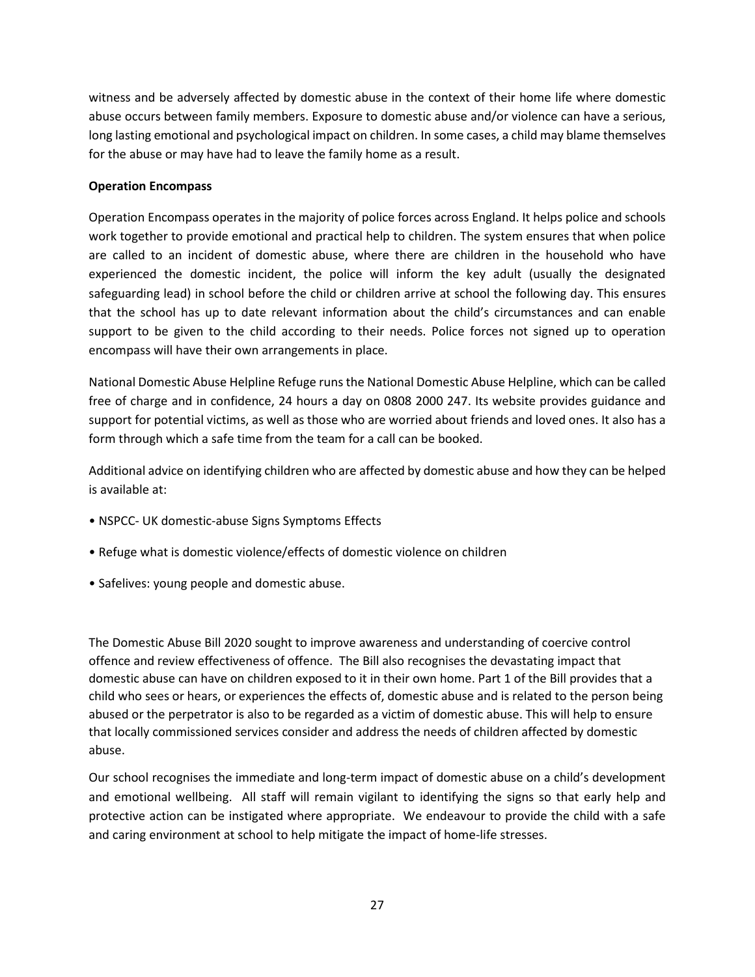witness and be adversely affected by domestic abuse in the context of their home life where domestic abuse occurs between family members. Exposure to domestic abuse and/or violence can have a serious, long lasting emotional and psychological impact on children. In some cases, a child may blame themselves for the abuse or may have had to leave the family home as a result.

#### **Operation Encompass**

Operation Encompass operates in the majority of police forces across England. It helps police and schools work together to provide emotional and practical help to children. The system ensures that when police are called to an incident of domestic abuse, where there are children in the household who have experienced the domestic incident, the police will inform the key adult (usually the designated safeguarding lead) in school before the child or children arrive at school the following day. This ensures that the school has up to date relevant information about the child's circumstances and can enable support to be given to the child according to their needs. Police forces not signed up to operation encompass will have their own arrangements in place.

National Domestic Abuse Helpline Refuge runs the National Domestic Abuse Helpline, which can be called free of charge and in confidence, 24 hours a day on 0808 2000 247. Its website provides guidance and support for potential victims, as well as those who are worried about friends and loved ones. It also has a form through which a safe time from the team for a call can be booked.

Additional advice on identifying children who are affected by domestic abuse and how they can be helped is available at:

- NSPCC- UK domestic-abuse Signs Symptoms Effects
- Refuge what is domestic violence/effects of domestic violence on children
- Safelives: young people and domestic abuse.

The Domestic Abuse Bill 2020 sought to improve awareness and understanding of coercive control offence and review effectiveness of offence. The Bill also recognises the devastating impact that domestic abuse can have on children exposed to it in their own home. Part 1 of the Bill provides that a child who sees or hears, or experiences the effects of, domestic abuse and is related to the person being abused or the perpetrator is also to be regarded as a victim of domestic abuse. This will help to ensure that locally commissioned services consider and address the needs of children affected by domestic abuse.

Our school recognises the immediate and long-term impact of domestic abuse on a child's development and emotional wellbeing. All staff will remain vigilant to identifying the signs so that early help and protective action can be instigated where appropriate. We endeavour to provide the child with a safe and caring environment at school to help mitigate the impact of home-life stresses.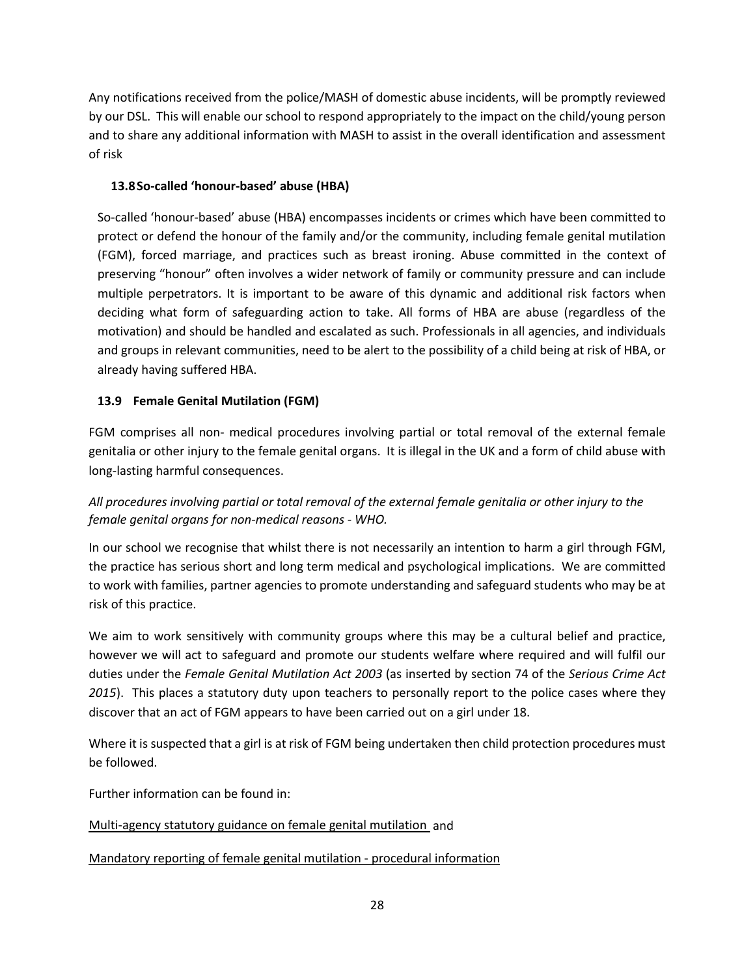Any notifications received from the police/MASH of domestic abuse incidents, will be promptly reviewed by our DSL. This will enable our school to respond appropriately to the impact on the child/young person and to share any additional information with MASH to assist in the overall identification and assessment of risk

## **13.8So-called 'honour-based' abuse (HBA)**

So-called 'honour-based' abuse (HBA) encompasses incidents or crimes which have been committed to protect or defend the honour of the family and/or the community, including female genital mutilation (FGM), forced marriage, and practices such as breast ironing. Abuse committed in the context of preserving "honour" often involves a wider network of family or community pressure and can include multiple perpetrators. It is important to be aware of this dynamic and additional risk factors when deciding what form of safeguarding action to take. All forms of HBA are abuse (regardless of the motivation) and should be handled and escalated as such. Professionals in all agencies, and individuals and groups in relevant communities, need to be alert to the possibility of a child being at risk of HBA, or already having suffered HBA.

## **13.9 Female Genital Mutilation (FGM)**

FGM comprises all non- medical procedures involving partial or total removal of the external female genitalia or other injury to the female genital organs. It is illegal in the UK and a form of child abuse with long-lasting harmful consequences.

## *All procedures involving partial or total removal of the external female genitalia or other injury to the female genital organs for non-medical reasons - WHO.*

In our school we recognise that whilst there is not necessarily an intention to harm a girl through FGM, the practice has serious short and long term medical and psychological implications. We are committed to work with families, partner agencies to promote understanding and safeguard students who may be at risk of this practice.

We aim to work sensitively with community groups where this may be a cultural belief and practice, however we will act to safeguard and promote our students welfare where required and will fulfil our duties under the *Female Genital Mutilation Act 2003* (as inserted by section 74 of the *Serious Crime Act 2015*). This places a statutory duty upon teachers to personally report to the police cases where they discover that an act of FGM appears to have been carried out on a girl under 18.

Where it is suspected that a girl is at risk of FGM being undertaken then child protection procedures must be followed.

Further information can be found in:

## [Multi-agency statutory guidance on female genital mutilation](https://www.gov.uk/government/publications/multi-agency-statutory-guidance-on-female-genital-mutilation) and

[Mandatory reporting of female genital mutilation -](https://www.gov.uk/government/publications/mandatory-reporting-of-female-genital-mutilation-procedural-information) procedural information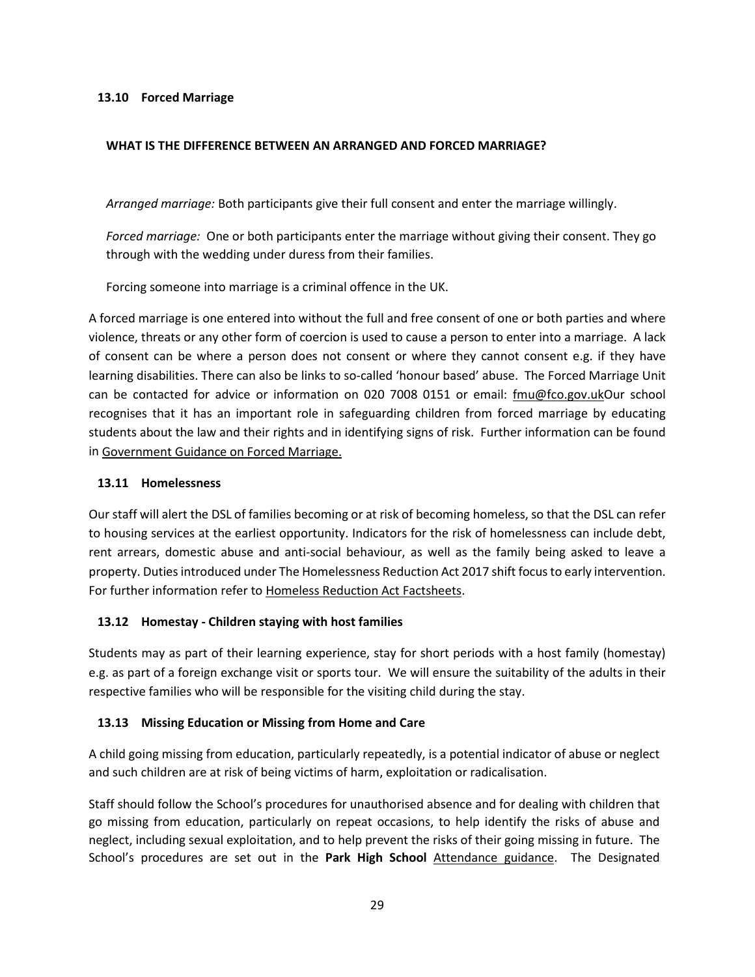#### **13.10 Forced Marriage**

#### **WHAT IS THE DIFFERENCE BETWEEN AN ARRANGED AND FORCED MARRIAGE?**

*Arranged marriage:* Both participants give their full consent and enter the marriage willingly.

*Forced marriage:* One or both participants enter the marriage without giving their consent. They go through with the wedding under duress from their families.

Forcing someone into marriage is a criminal offence in the UK.

A forced marriage is one entered into without the full and free consent of one or both parties and where violence, threats or any other form of coercion is used to cause a person to enter into a marriage. A lack of consent can be where a person does not consent or where they cannot consent e.g. if they have learning disabilities. There can also be links to so-called 'honour based' abuse. The Forced Marriage Unit can be contacted for advice or information on 020 7008 0151 or email: [fmu@fco.gov.ukO](mailto:fmu@fco.gov.uk)ur school recognises that it has an important role in safeguarding children from forced marriage by educating students about the law and their rights and in identifying signs of risk. Further information can be found in [Government Guidance on Forced Marriage.](https://www.gov.uk/guidance/forced-marriage)

#### **13.11 Homelessness**

Our staff will alert the DSL of families becoming or at risk of becoming homeless, so that the DSL can refer to housing services at the earliest opportunity. Indicators for the risk of homelessness can include debt, rent arrears, domestic abuse and anti-social behaviour, as well as the family being asked to leave a property. Duties introduced under The Homelessness Reduction Act 2017 shift focus to early intervention. For further information refer t[o Homeless Reduction Act Factsheets.](https://www.gov.uk/government/publications/homelessness-reduction-bill-policy-factsheets)

#### **13.12 Homestay - Children staying with host families**

Students may as part of their learning experience, stay for short periods with a host family (homestay) e.g. as part of a foreign exchange visit or sports tour. We will ensure the suitability of the adults in their respective families who will be responsible for the visiting child during the stay.

#### **13.13 Missing Education or Missing from Home and Care**

A child going missing from education, particularly repeatedly, is a potential indicator of abuse or neglect and such children are at risk of being victims of harm, exploitation or radicalisation.

Staff should follow the School's procedures for unauthorised absence and for dealing with children that go missing from education, particularly on repeat occasions, to help identify the risks of abuse and neglect, including sexual exploitation, and to help prevent the risks of their going missing in future. The School's procedures are set out in the **Park High School** [Attendance guidance.](https://www.parkhighstanmore.org.uk/parents/studentabsence) The Designated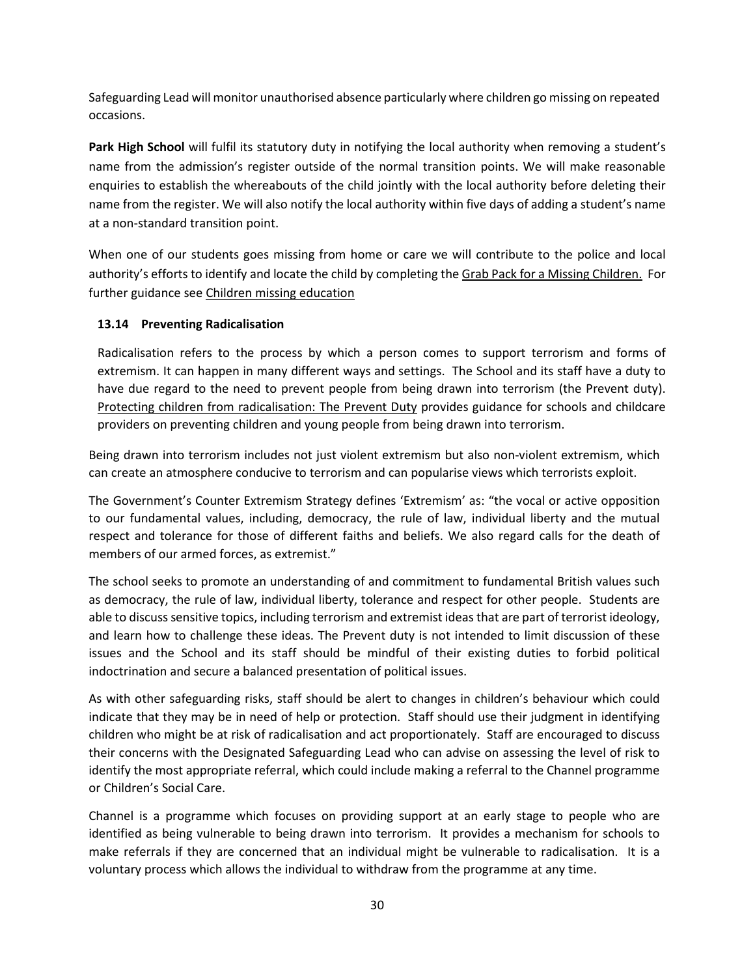Safeguarding Lead will monitor unauthorised absence particularly where children go missing on repeated occasions.

**Park High School** will fulfil its statutory duty in notifying the local authority when removing a student's name from the admission's register outside of the normal transition points. We will make reasonable enquiries to establish the whereabouts of the child jointly with the local authority before deleting their name from the register. We will also notify the local authority within five days of adding a student's name at a non-standard transition point.

When one of our students goes missing from home or care we will contribute to the police and local authority's efforts to identify and locate the child by completing th[e Grab Pack for a Missing Childr](http://www.harrowlscb.co.uk/wp-content/uploads/2015/06/GRAB-Pack-for-Missing-Children_Harrow-document.pdf)en. For further guidance see [Children missing education](https://www.gov.uk/government/publications/children-missing-education)

## **13.14 Preventing Radicalisation**

Radicalisation refers to the process by which a person comes to support terrorism and forms of extremism. It can happen in many different ways and settings. The School and its staff have a duty to have due regard to the need to prevent people from being drawn into terrorism (the Prevent duty). [Protecting children from radicalisation: The](https://www.gov.uk/government/publications/protecting-children-from-radicalisation-the-prevent-duty) Prevent Duty provides guidance for schools and childcare providers on preventing children and young people from being drawn into terrorism.

Being drawn into terrorism includes not just violent extremism but also non-violent extremism, which can create an atmosphere conducive to terrorism and can popularise views which terrorists exploit.

The Government's Counter Extremism Strategy defines 'Extremism' as: "the vocal or active opposition to our fundamental values, including, democracy, the rule of law, individual liberty and the mutual respect and tolerance for those of different faiths and beliefs. We also regard calls for the death of members of our armed forces, as extremist."

The school seeks to promote an understanding of and commitment to fundamental British values such as democracy, the rule of law, individual liberty, tolerance and respect for other people. Students are able to discuss sensitive topics, including terrorism and extremist ideas that are part of terrorist ideology, and learn how to challenge these ideas. The Prevent duty is not intended to limit discussion of these issues and the School and its staff should be mindful of their existing duties to forbid political indoctrination and secure a balanced presentation of political issues.

As with other safeguarding risks, staff should be alert to changes in children's behaviour which could indicate that they may be in need of help or protection. Staff should use their judgment in identifying children who might be at risk of radicalisation and act proportionately. Staff are encouraged to discuss their concerns with the Designated Safeguarding Lead who can advise on assessing the level of risk to identify the most appropriate referral, which could include making a referral to the Channel programme or Children's Social Care.

Channel is a programme which focuses on providing support at an early stage to people who are identified as being vulnerable to being drawn into terrorism. It provides a mechanism for schools to make referrals if they are concerned that an individual might be vulnerable to radicalisation. It is a voluntary process which allows the individual to withdraw from the programme at any time.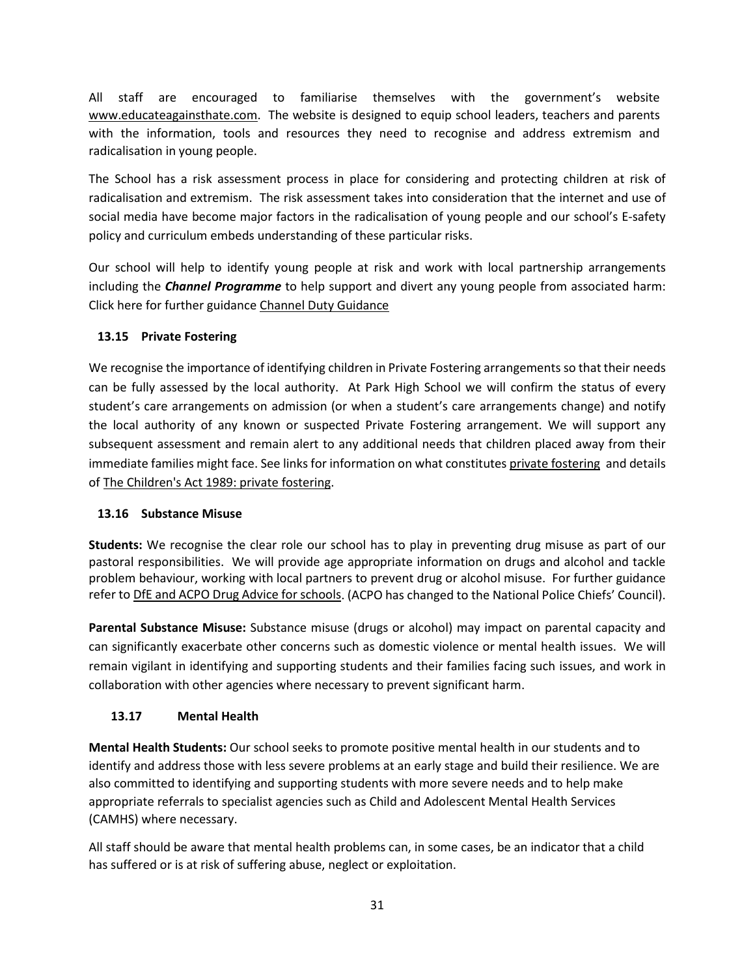All staff are encouraged to familiarise themselves with the government's website [www.educateagainsthate.com.](http://www.educateagainsthate.com/) The website is designed to equip school leaders, teachers and parents with the information, tools and resources they need to recognise and address extremism and radicalisation in young people.

The School has a risk assessment process in place for considering and protecting children at risk of radicalisation and extremism. The risk assessment takes into consideration that the internet and use of social media have become major factors in the radicalisation of young people and our school's E-safety policy and curriculum embeds understanding of these particular risks.

Our school will help to identify young people at risk and work with local partnership arrangements including the *Channel Programme* to help support and divert any young people from associated harm: Click here for further guidanc[e Channel Duty Guidance](https://www.gov.uk/government/uploads/system/uploads/attachment_data/file/425189/Channel_Duty_Guidance_April_2015.pdf)

## **13.15 Private Fostering**

We recognise the importance of identifying children in Private Fostering arrangements so that their needs can be fully assessed by the local authority. At Park High School we will confirm the status of every student's care arrangements on admission (or when a student's care arrangements change) and notify the local authority of any known or suspected Private Fostering arrangement. We will support any subsequent assessment and remain alert to any additional needs that children placed away from their immediate families might face. See links for information on what constitute[s private fostering](https://www.harrow.gov.uk/childrens-social-care/private-fostering-arrangements?documentId=12842&categoryId=210264) and details o[f The Children's Act 1989: private fostering.](https://www.gov.uk/government/publications/children-act-1989-private-fostering)

## **13.16 Substance Misuse**

**Students:** We recognise the clear role our school has to play in preventing drug misuse as part of our pastoral responsibilities. We will provide age appropriate information on drugs and alcohol and tackle problem behaviour, working with local partners to prevent drug or alcohol misuse. For further guidance refer to [DfE and ACPO Drug Advice for schools.](https://www.gov.uk/government/publications/drugs-advice-for-schools) (ACPO has changed to the National Police Chiefs' Council).

**Parental Substance Misuse:** Substance misuse (drugs or alcohol) may impact on parental capacity and can significantly exacerbate other concerns such as domestic violence or mental health issues. We will remain vigilant in identifying and supporting students and their families facing such issues, and work in collaboration with other agencies where necessary to prevent significant harm.

## **13.17 Mental Health**

**Mental Health Students:** Our school seeks to promote positive mental health in our students and to identify and address those with less severe problems at an early stage and build their resilience. We are also committed to identifying and supporting students with more severe needs and to help make appropriate referrals to specialist agencies such as Child and Adolescent Mental Health Services (CAMHS) where necessary.

All staff should be aware that mental health problems can, in some cases, be an indicator that a child has suffered or is at risk of suffering abuse, neglect or exploitation.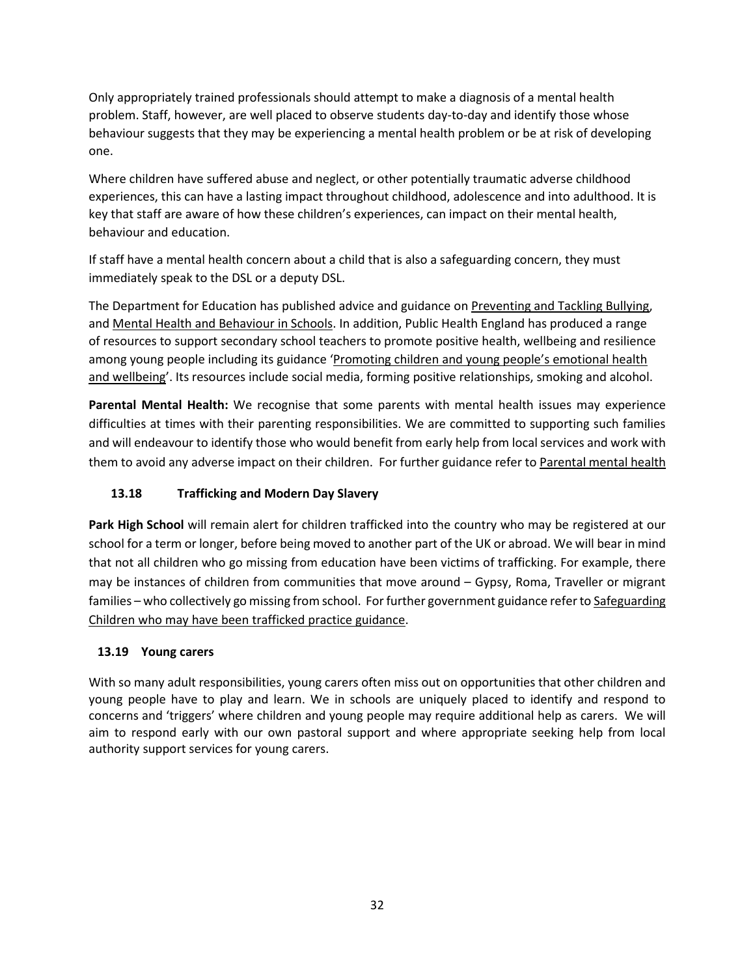Only appropriately trained professionals should attempt to make a diagnosis of a mental health problem. Staff, however, are well placed to observe students day-to-day and identify those whose behaviour suggests that they may be experiencing a mental health problem or be at risk of developing one.

Where children have suffered abuse and neglect, or other potentially traumatic adverse childhood experiences, this can have a lasting impact throughout childhood, adolescence and into adulthood. It is key that staff are aware of how these children's experiences, can impact on their mental health, behaviour and education.

If staff have a mental health concern about a child that is also a safeguarding concern, they must immediately speak to the DSL or a deputy DSL.

The Department for Education has published advice and guidance on [Preventing and Tackling Bullying,](https://www.gov.uk/government/publications/preventing-and-tackling-bullying) and [Mental Health and Behaviour in Schools.](https://www.gov.uk/government/publications/mental-health-and-behaviour-in-schools--2) In addition, Public Health England has produced a range of resources to support secondary school teachers to promote positive health, wellbeing and resilience among young people including its guidance 'Promoting children and young people's emotional health [and wellbeing'](https://assets.publishing.service.gov.uk/government/uploads/system/uploads/attachment_data/file/414908/Final_EHWB_draft_20_03_15.pdf). Its resources include social media, forming positive relationships, smoking and alcohol.

**Parental Mental Health:** We recognise that some parents with mental health issues may experience difficulties at times with their parenting responsibilities. We are committed to supporting such families and will endeavour to identify those who would benefit from early help from local services and work with them to avoid any adverse impact on their children. For further guidance refer t[o Parental mental health](https://www.nspcc.org.uk/preventing-abuse/child-protection-system/parental-mental-health/)

## **13.18 Trafficking and Modern Day Slavery**

**Park High School** will remain alert for children trafficked into the country who may be registered at our school for a term or longer, before being moved to another part of the UK or abroad. We will bear in mind that not all children who go missing from education have been victims of trafficking. For example, there may be instances of children from communities that move around – Gypsy, Roma, Traveller or migrant families – who collectively go missing from school. For further government guidance refer t[o Safeguarding](https://www.gov.uk/government/publications/safeguarding-children-who-may-have-been-trafficked-practice-guidance)  [Children who may have been trafficked practice guidance.](https://www.gov.uk/government/publications/safeguarding-children-who-may-have-been-trafficked-practice-guidance)

## **13.19 Young carers**

With so many adult responsibilities, young carers often miss out on opportunities that other children and young people have to play and learn. We in schools are uniquely placed to identify and respond to concerns and 'triggers' where children and young people may require additional help as carers. We will aim to respond early with our own pastoral support and where appropriate seeking help from local authority support services for young carers.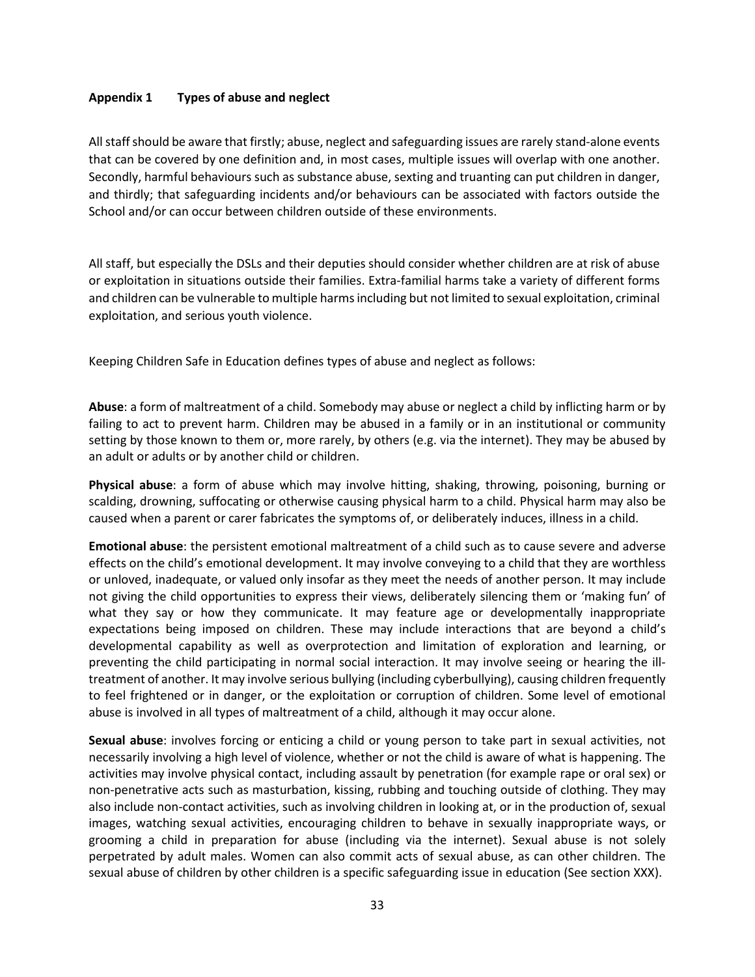#### **Appendix 1 Types of abuse and neglect**

All staff should be aware that firstly; abuse, neglect and safeguarding issues are rarely stand-alone events that can be covered by one definition and, in most cases, multiple issues will overlap with one another. Secondly, harmful behaviours such as substance abuse, sexting and truanting can put children in danger, and thirdly; that safeguarding incidents and/or behaviours can be associated with factors outside the School and/or can occur between children outside of these environments.

All staff, but especially the DSLs and their deputies should consider whether children are at risk of abuse or exploitation in situations outside their families. Extra-familial harms take a variety of different forms and children can be vulnerable to multiple harms including but not limited to sexual exploitation, criminal exploitation, and serious youth violence.

Keeping Children Safe in Education defines types of abuse and neglect as follows:

**Abuse**: a form of maltreatment of a child. Somebody may abuse or neglect a child by inflicting harm or by failing to act to prevent harm. Children may be abused in a family or in an institutional or community setting by those known to them or, more rarely, by others (e.g. via the internet). They may be abused by an adult or adults or by another child or children.

**Physical abuse**: a form of abuse which may involve hitting, shaking, throwing, poisoning, burning or scalding, drowning, suffocating or otherwise causing physical harm to a child. Physical harm may also be caused when a parent or carer fabricates the symptoms of, or deliberately induces, illness in a child.

**Emotional abuse**: the persistent emotional maltreatment of a child such as to cause severe and adverse effects on the child's emotional development. It may involve conveying to a child that they are worthless or unloved, inadequate, or valued only insofar as they meet the needs of another person. It may include not giving the child opportunities to express their views, deliberately silencing them or 'making fun' of what they say or how they communicate. It may feature age or developmentally inappropriate expectations being imposed on children. These may include interactions that are beyond a child's developmental capability as well as overprotection and limitation of exploration and learning, or preventing the child participating in normal social interaction. It may involve seeing or hearing the illtreatment of another. It may involve serious bullying (including cyberbullying), causing children frequently to feel frightened or in danger, or the exploitation or corruption of children. Some level of emotional abuse is involved in all types of maltreatment of a child, although it may occur alone.

**Sexual abuse**: involves forcing or enticing a child or young person to take part in sexual activities, not necessarily involving a high level of violence, whether or not the child is aware of what is happening. The activities may involve physical contact, including assault by penetration (for example rape or oral sex) or non-penetrative acts such as masturbation, kissing, rubbing and touching outside of clothing. They may also include non-contact activities, such as involving children in looking at, or in the production of, sexual images, watching sexual activities, encouraging children to behave in sexually inappropriate ways, or grooming a child in preparation for abuse (including via the internet). Sexual abuse is not solely perpetrated by adult males. Women can also commit acts of sexual abuse, as can other children. The sexual abuse of children by other children is a specific safeguarding issue in education (See section XXX).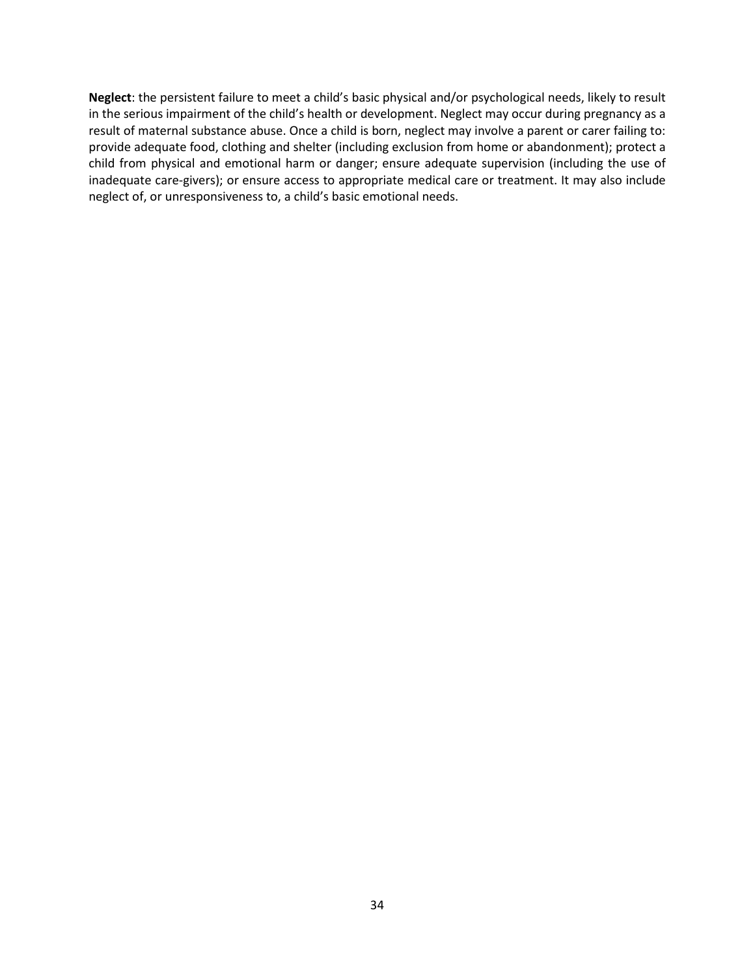**Neglect**: the persistent failure to meet a child's basic physical and/or psychological needs, likely to result in the serious impairment of the child's health or development. Neglect may occur during pregnancy as a result of maternal substance abuse. Once a child is born, neglect may involve a parent or carer failing to: provide adequate food, clothing and shelter (including exclusion from home or abandonment); protect a child from physical and emotional harm or danger; ensure adequate supervision (including the use of inadequate care-givers); or ensure access to appropriate medical care or treatment. It may also include neglect of, or unresponsiveness to, a child's basic emotional needs.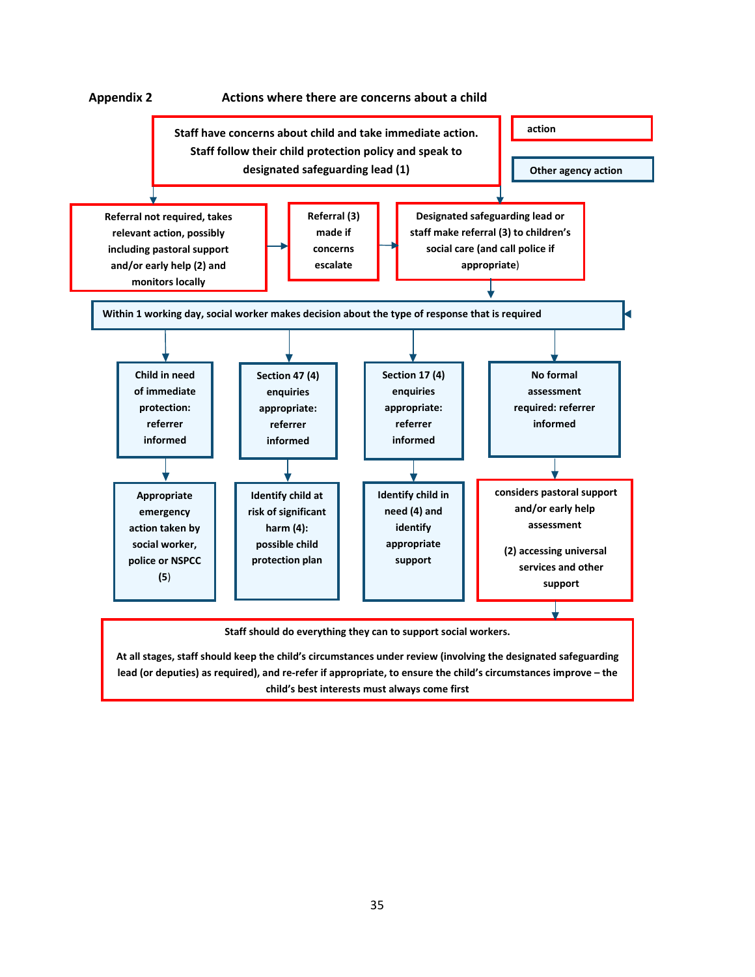

**child's best interests must always come first**